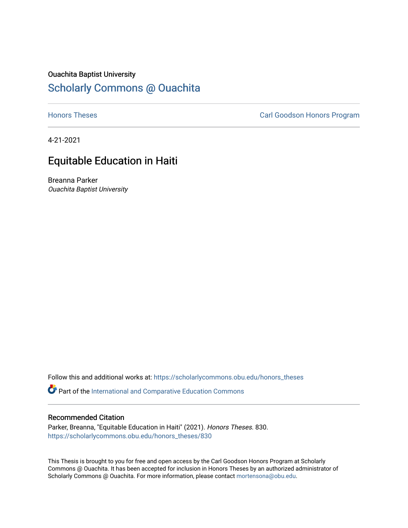# Ouachita Baptist University

# [Scholarly Commons @ Ouachita](https://scholarlycommons.obu.edu/)

**[Honors Theses](https://scholarlycommons.obu.edu/honors_theses) Carl Goodson Honors Program** 

4-21-2021

# Equitable Education in Haiti

Breanna Parker Ouachita Baptist University

Follow this and additional works at: [https://scholarlycommons.obu.edu/honors\\_theses](https://scholarlycommons.obu.edu/honors_theses?utm_source=scholarlycommons.obu.edu%2Fhonors_theses%2F830&utm_medium=PDF&utm_campaign=PDFCoverPages) 

Part of the [International and Comparative Education Commons](http://network.bepress.com/hgg/discipline/797?utm_source=scholarlycommons.obu.edu%2Fhonors_theses%2F830&utm_medium=PDF&utm_campaign=PDFCoverPages) 

#### Recommended Citation

Parker, Breanna, "Equitable Education in Haiti" (2021). Honors Theses. 830. [https://scholarlycommons.obu.edu/honors\\_theses/830](https://scholarlycommons.obu.edu/honors_theses/830?utm_source=scholarlycommons.obu.edu%2Fhonors_theses%2F830&utm_medium=PDF&utm_campaign=PDFCoverPages) 

This Thesis is brought to you for free and open access by the Carl Goodson Honors Program at Scholarly Commons @ Ouachita. It has been accepted for inclusion in Honors Theses by an authorized administrator of Scholarly Commons @ Ouachita. For more information, please contact [mortensona@obu.edu](mailto:mortensona@obu.edu).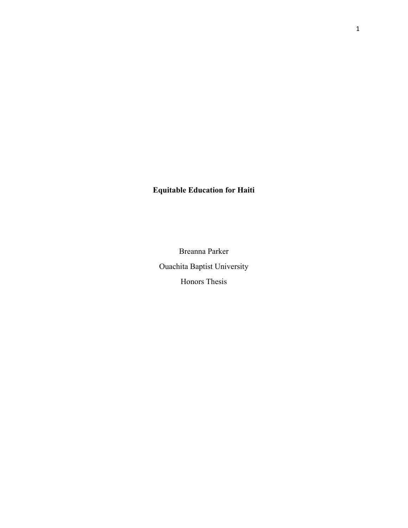# **Equitable Education for Haiti**

Breanna Parker Ouachita Baptist University Honors Thesis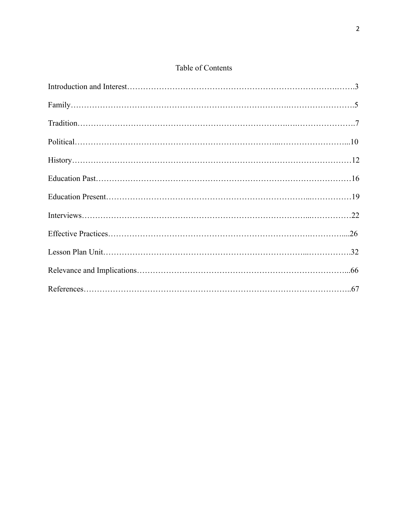# Table of Contents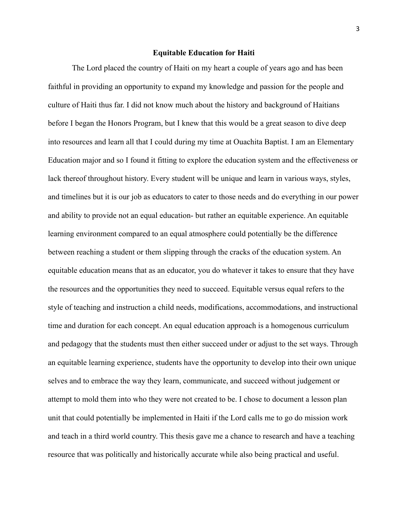#### **Equitable Education for Haiti**

The Lord placed the country of Haiti on my heart a couple of years ago and has been faithful in providing an opportunity to expand my knowledge and passion for the people and culture of Haiti thus far. I did not know much about the history and background of Haitians before I began the Honors Program, but I knew that this would be a great season to dive deep into resources and learn all that I could during my time at Ouachita Baptist. I am an Elementary Education major and so I found it fitting to explore the education system and the effectiveness or lack thereof throughout history. Every student will be unique and learn in various ways, styles, and timelines but it is our job as educators to cater to those needs and do everything in our power and ability to provide not an equal education- but rather an equitable experience. An equitable learning environment compared to an equal atmosphere could potentially be the difference between reaching a student or them slipping through the cracks of the education system. An equitable education means that as an educator, you do whatever it takes to ensure that they have the resources and the opportunities they need to succeed. Equitable versus equal refers to the style of teaching and instruction a child needs, modifications, accommodations, and instructional time and duration for each concept. An equal education approach is a homogenous curriculum and pedagogy that the students must then either succeed under or adjust to the set ways. Through an equitable learning experience, students have the opportunity to develop into their own unique selves and to embrace the way they learn, communicate, and succeed without judgement or attempt to mold them into who they were not created to be. I chose to document a lesson plan unit that could potentially be implemented in Haiti if the Lord calls me to go do mission work and teach in a third world country. This thesis gave me a chance to research and have a teaching resource that was politically and historically accurate while also being practical and useful.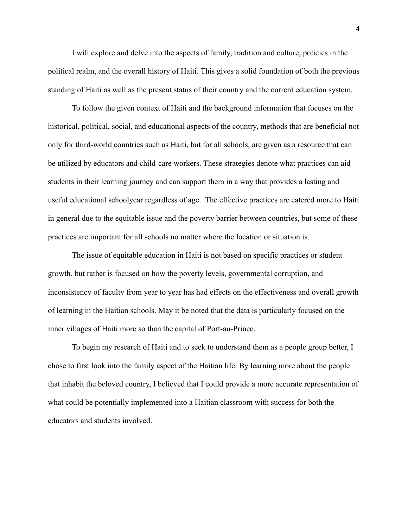I will explore and delve into the aspects of family, tradition and culture, policies in the political realm, and the overall history of Haiti. This gives a solid foundation of both the previous standing of Haiti as well as the present status of their country and the current education system.

To follow the given context of Haiti and the background information that focuses on the historical, political, social, and educational aspects of the country, methods that are beneficial not only for third-world countries such as Haiti, but for all schools, are given as a resource that can be utilized by educators and child-care workers. These strategies denote what practices can aid students in their learning journey and can support them in a way that provides a lasting and useful educational schoolyear regardless of age. The effective practices are catered more to Haiti in general due to the equitable issue and the poverty barrier between countries, but some of these practices are important for all schools no matter where the location or situation is.

The issue of equitable education in Haiti is not based on specific practices or student growth, but rather is focused on how the poverty levels, governmental corruption, and inconsistency of faculty from year to year has had effects on the effectiveness and overall growth of learning in the Haitian schools. May it be noted that the data is particularly focused on the inner villages of Haiti more so than the capital of Port-au-Prince.

To begin my research of Haiti and to seek to understand them as a people group better, I chose to first look into the family aspect of the Haitian life. By learning more about the people that inhabit the beloved country, I believed that I could provide a more accurate representation of what could be potentially implemented into a Haitian classroom with success for both the educators and students involved.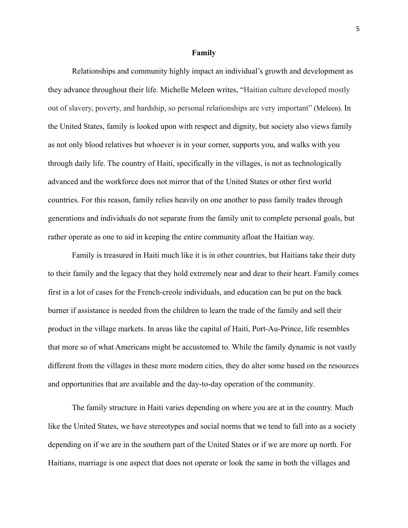#### **Family**

Relationships and community highly impact an individual's growth and development as they advance throughout their life. Michelle Meleen writes, "Haitian culture developed mostly out of slavery, poverty, and hardship, so personal relationships are very important" (Meleen). In the United States, family is looked upon with respect and dignity, but society also views family as not only blood relatives but whoever is in your corner, supports you, and walks with you through daily life. The country of Haiti, specifically in the villages, is not as technologically advanced and the workforce does not mirror that of the United States or other first world countries. For this reason, family relies heavily on one another to pass family trades through generations and individuals do not separate from the family unit to complete personal goals, but rather operate as one to aid in keeping the entire community afloat the Haitian way.

Family is treasured in Haiti much like it is in other countries, but Haitians take their duty to their family and the legacy that they hold extremely near and dear to their heart. Family comes first in a lot of cases for the French-creole individuals, and education can be put on the back burner if assistance is needed from the children to learn the trade of the family and sell their product in the village markets. In areas like the capital of Haiti, Port-Au-Prince, life resembles that more so of what Americans might be accustomed to. While the family dynamic is not vastly different from the villages in these more modern cities, they do alter some based on the resources and opportunities that are available and the day-to-day operation of the community.

The family structure in Haiti varies depending on where you are at in the country. Much like the United States, we have stereotypes and social norms that we tend to fall into as a society depending on if we are in the southern part of the United States or if we are more up north. For Haitians, marriage is one aspect that does not operate or look the same in both the villages and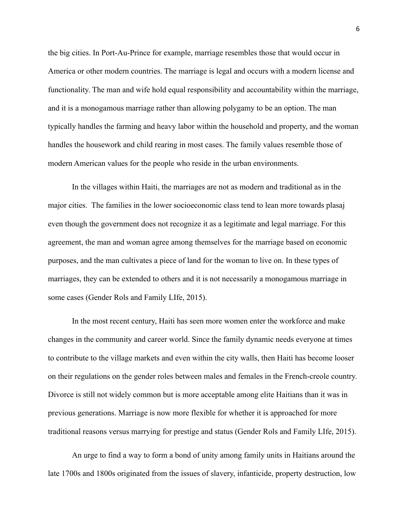the big cities. In Port-Au-Prince for example, marriage resembles those that would occur in America or other modern countries. The marriage is legal and occurs with a modern license and functionality. The man and wife hold equal responsibility and accountability within the marriage, and it is a monogamous marriage rather than allowing polygamy to be an option. The man typically handles the farming and heavy labor within the household and property, and the woman handles the housework and child rearing in most cases. The family values resemble those of modern American values for the people who reside in the urban environments.

In the villages within Haiti, the marriages are not as modern and traditional as in the major cities. The families in the lower socioeconomic class tend to lean more towards plasaj even though the government does not recognize it as a legitimate and legal marriage. For this agreement, the man and woman agree among themselves for the marriage based on economic purposes, and the man cultivates a piece of land for the woman to live on. In these types of marriages, they can be extended to others and it is not necessarily a monogamous marriage in some cases (Gender Rols and Family LIfe, 2015).

In the most recent century, Haiti has seen more women enter the workforce and make changes in the community and career world. Since the family dynamic needs everyone at times to contribute to the village markets and even within the city walls, then Haiti has become looser on their regulations on the gender roles between males and females in the French-creole country. Divorce is still not widely common but is more acceptable among elite Haitians than it was in previous generations. Marriage is now more flexible for whether it is approached for more traditional reasons versus marrying for prestige and status (Gender Rols and Family LIfe, 2015).

An urge to find a way to form a bond of unity among family units in Haitians around the late 1700s and 1800s originated from the issues of slavery, infanticide, property destruction, low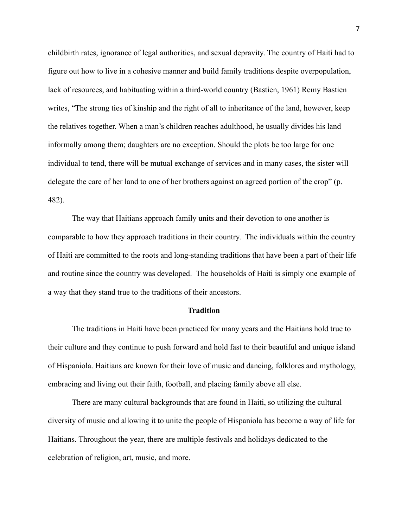childbirth rates, ignorance of legal authorities, and sexual depravity. The country of Haiti had to figure out how to live in a cohesive manner and build family traditions despite overpopulation, lack of resources, and habituating within a third-world country (Bastien, 1961) Remy Bastien writes, "The strong ties of kinship and the right of all to inheritance of the land, however, keep the relatives together. When a man's children reaches adulthood, he usually divides his land informally among them; daughters are no exception. Should the plots be too large for one individual to tend, there will be mutual exchange of services and in many cases, the sister will delegate the care of her land to one of her brothers against an agreed portion of the crop" (p. 482).

The way that Haitians approach family units and their devotion to one another is comparable to how they approach traditions in their country. The individuals within the country of Haiti are committed to the roots and long-standing traditions that have been a part of their life and routine since the country was developed. The households of Haiti is simply one example of a way that they stand true to the traditions of their ancestors.

#### **Tradition**

The traditions in Haiti have been practiced for many years and the Haitians hold true to their culture and they continue to push forward and hold fast to their beautiful and unique island of Hispaniola. Haitians are known for their love of music and dancing, folklores and mythology, embracing and living out their faith, football, and placing family above all else.

There are many cultural backgrounds that are found in Haiti, so utilizing the cultural diversity of music and allowing it to unite the people of Hispaniola has become a way of life for Haitians. Throughout the year, there are multiple festivals and holidays dedicated to the celebration of religion, art, music, and more.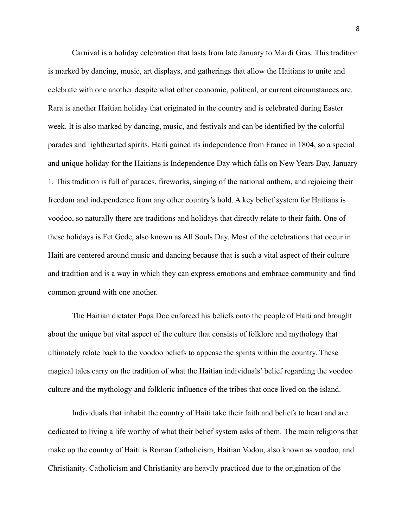Carnival is a holiday celebration that lasts from late January to Mardi Gras. This tradition is marked by dancing, music, art displays, and gatherings that allow the Haitians to unite and celebrate with one another despite what other economic, political, or current circumstances are. Rara is another Haitian holiday that originated in the country and is celebrated during Easter week. It is also marked by dancing, music, and festivals and can be identified by the colorful parades and lighthearted spirits. Haiti gained its independence from France in 1804, so a special and unique holiday for the Haitians is Independence Day which falls on New Years Day, January 1. This tradition is full of parades, fireworks, singing of the national anthem, and rejoicing their freedom and independence from any other country's hold. A key belief system for Haitians is voodoo, so naturally there are traditions and holidays that directly relate to their faith. One of these holidays is Fet Gede, also known as All Souls Day. Most of the celebrations that occur in Haiti are centered around music and dancing because that is such a vital aspect of their culture and tradition and is a way in which they can express emotions and embrace community and find common ground with one another.

The Haitian dictator Papa Doc enforced his beliefs onto the people of Haiti and brought about the unique but vital aspect of the culture that consists of folklore and mythology that ultimately relate back to the voodoo beliefs to appease the spirits within the country. These magical tales carry on the tradition of what the Haitian individuals' belief regarding the voodoo culture and the mythology and folkloric influence of the tribes that once lived on the island.

Individuals that inhabit the country of Haiti take their faith and beliefs to heart and are dedicated to living a life worthy of what their belief system asks of them. The main religions that make up the country of Haiti is Roman Catholicism, Haitian Vodou, also known as voodoo, and Christianity. Catholicism and Christianity are heavily practiced due to the origination of the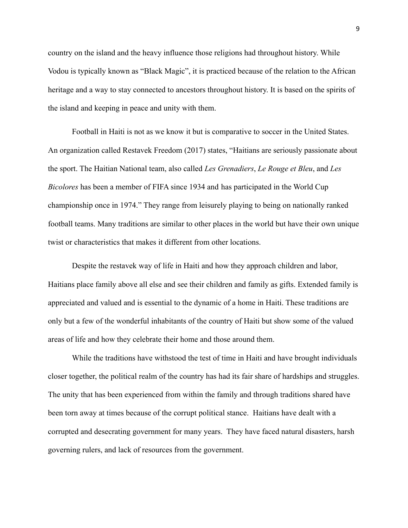country on the island and the heavy influence those religions had throughout history. While Vodou is typically known as "Black Magic", it is practiced because of the relation to the African heritage and a way to stay connected to ancestors throughout history. It is based on the spirits of the island and keeping in peace and unity with them.

Football in Haiti is not as we know it but is comparative to soccer in the United States. An organization called Restavek Freedom (2017) states, "Haitians are seriously passionate about the sport. The Haitian National team, also called *Les Grenadiers*, *Le Rouge et Bleu*, and *Les Bicolores* has been a member of FIFA since 1934 and has participated in the World Cup championship once in 1974." They range from leisurely playing to being on nationally ranked football teams. Many traditions are similar to other places in the world but have their own unique twist or characteristics that makes it different from other locations.

Despite the restavek way of life in Haiti and how they approach children and labor, Haitians place family above all else and see their children and family as gifts. Extended family is appreciated and valued and is essential to the dynamic of a home in Haiti. These traditions are only but a few of the wonderful inhabitants of the country of Haiti but show some of the valued areas of life and how they celebrate their home and those around them.

While the traditions have withstood the test of time in Haiti and have brought individuals closer together, the political realm of the country has had its fair share of hardships and struggles. The unity that has been experienced from within the family and through traditions shared have been torn away at times because of the corrupt political stance. Haitians have dealt with a corrupted and desecrating government for many years. They have faced natural disasters, harsh governing rulers, and lack of resources from the government.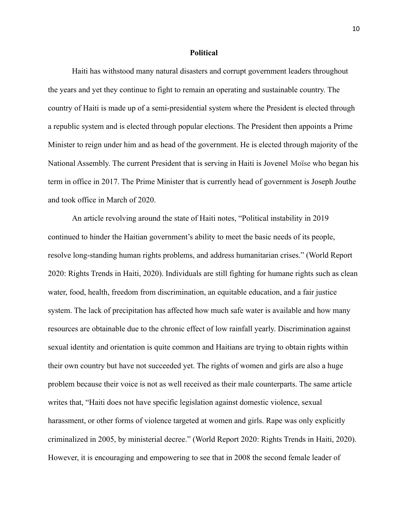#### **Political**

Haiti has withstood many natural disasters and corrupt government leaders throughout the years and yet they continue to fight to remain an operating and sustainable country. The country of Haiti is made up of a semi-presidential system where the President is elected through a republic system and is elected through popular elections. The President then appoints a Prime Minister to reign under him and as head of the government. He is elected through majority of the National Assembly. The current President that is serving in Haiti is Jovenel Moïse who began his term in office in 2017. The Prime Minister that is currently head of government is Joseph Jouthe and took office in March of 2020.

An article revolving around the state of Haiti notes, "Political instability in 2019 continued to hinder the Haitian government's ability to meet the basic needs of its people, resolve long-standing human rights problems, and address humanitarian crises." (World Report 2020: Rights Trends in Haiti, 2020). Individuals are still fighting for humane rights such as clean water, food, health, freedom from discrimination, an equitable education, and a fair justice system. The lack of precipitation has affected how much safe water is available and how many resources are obtainable due to the chronic effect of low rainfall yearly. Discrimination against sexual identity and orientation is quite common and Haitians are trying to obtain rights within their own country but have not succeeded yet. The rights of women and girls are also a huge problem because their voice is not as well received as their male counterparts. The same article writes that, "Haiti does not have specific legislation against domestic violence, sexual harassment, or other forms of violence targeted at women and girls. Rape was only explicitly criminalized in 2005, by ministerial decree." (World Report 2020: Rights Trends in Haiti, 2020). However, it is encouraging and empowering to see that in 2008 the second female leader of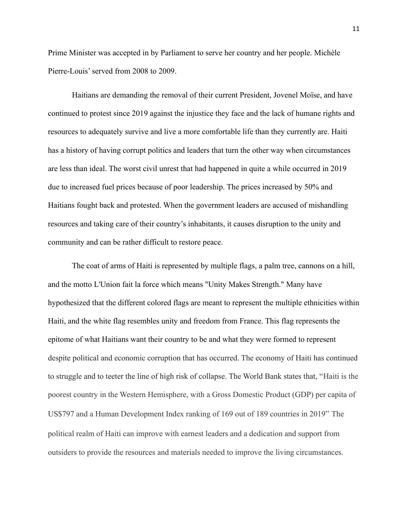Prime Minister was accepted in by Parliament to serve her country and her people. Michèle Pierre-Louis' served from 2008 to 2009.

Haitians are demanding the removal of their current President, Jovenel Moïse, and have continued to protest since 2019 against the injustice they face and the lack of humane rights and resources to adequately survive and live a more comfortable life than they currently are. Haiti has a history of having corrupt politics and leaders that turn the other way when circumstances are less than ideal. The worst civil unrest that had happened in quite a while occurred in 2019 due to increased fuel prices because of poor leadership. The prices increased by 50% and Haitians fought back and protested. When the government leaders are accused of mishandling resources and taking care of their country's inhabitants, it causes disruption to the unity and community and can be rather difficult to restore peace.

The coat of arms of Haiti is represented by multiple flags, a palm tree, cannons on a hill, and the motto L'Union fait la force which means "Unity Makes Strength." Many have hypothesized that the different colored flags are meant to represent the multiple ethnicities within Haiti, and the white flag resembles unity and freedom from France. This flag represents the epitome of what Haitians want their country to be and what they were formed to represent despite political and economic corruption that has occurred. The economy of Haiti has continued to struggle and to teeter the line of high risk of collapse. The World Bank states that, "Haiti is the poorest country in the Western Hemisphere, with a Gross Domestic Product (GDP) per capita of US\$797 and a Human Development Index ranking of 169 out of 189 countries in 2019" The political realm of Haiti can improve with earnest leaders and a dedication and support from outsiders to provide the resources and materials needed to improve the living circumstances.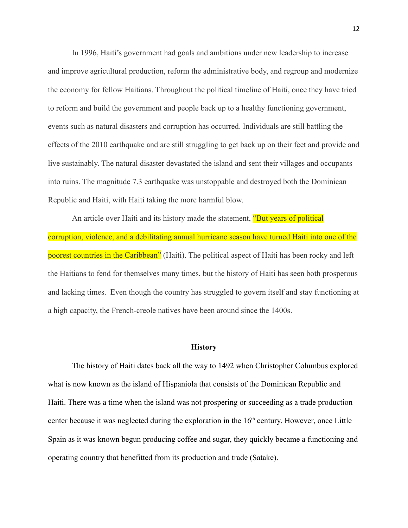In 1996, Haiti's government had goals and ambitions under new leadership to increase and improve agricultural production, reform the administrative body, and regroup and modernize the economy for fellow Haitians. Throughout the political timeline of Haiti, once they have tried to reform and build the government and people back up to a healthy functioning government, events such as natural disasters and corruption has occurred. Individuals are still battling the effects of the 2010 earthquake and are still struggling to get back up on their feet and provide and live sustainably. The natural disaster devastated the island and sent their villages and occupants into ruins. The magnitude 7.3 earthquake was unstoppable and destroyed both the Dominican Republic and Haiti, with Haiti taking the more harmful blow.

An article over Haiti and its history made the statement, **"But years of political** corruption, violence, and a debilitating annual hurricane season have turned Haiti into one of the poorest countries in the Caribbean" (Haiti). The political aspect of Haiti has been rocky and left the Haitians to fend for themselves many times, but the history of Haiti has seen both prosperous and lacking times. Even though the country has struggled to govern itself and stay functioning at a high capacity, the French-creole natives have been around since the 1400s.

#### **History**

The history of Haiti dates back all the way to 1492 when Christopher Columbus explored what is now known as the island of Hispaniola that consists of the Dominican Republic and Haiti. There was a time when the island was not prospering or succeeding as a trade production center because it was neglected during the exploration in the  $16<sup>th</sup>$  century. However, once Little Spain as it was known begun producing coffee and sugar, they quickly became a functioning and operating country that benefitted from its production and trade (Satake).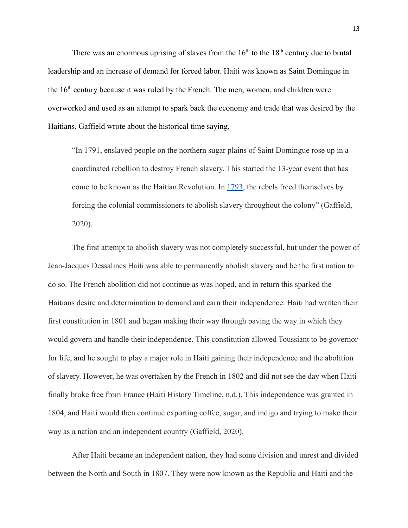There was an enormous uprising of slaves from the  $16<sup>th</sup>$  to the  $18<sup>th</sup>$  century due to brutal leadership and an increase of demand for forced labor. Haiti was known as Saint Domingue in the 16<sup>th</sup> century because it was ruled by the French. The men, women, and children were overworked and used as an attempt to spark back the economy and trade that was desired by the Haitians. Gaffield wrote about the historical time saying,

"In 1791, enslaved people on the northern sugar plains of Saint Domingue rose up in a coordinated rebellion to destroy French slavery. This started the 13-year event that has come to be known as the Haitian Revolution. In [1793,](https://upload.wikimedia.org/wikipedia/commons/4/4f/Proclamation_de_L%C3%A9ger-F%C3%A9licit%C3%A9_Sonthonax_en_cr%C3%A9ole_1.png) the rebels freed themselves by forcing the colonial commissioners to abolish slavery throughout the colony" (Gaffield, 2020).

The first attempt to abolish slavery was not completely successful, but under the power of Jean-Jacques Dessalines Haiti was able to permanently abolish slavery and be the first nation to do so. The French abolition did not continue as was hoped, and in return this sparked the Haitians desire and determination to demand and earn their independence. Haiti had written their first constitution in 1801 and began making their way through paving the way in which they would govern and handle their independence. This constitution allowed Toussiant to be governor for life, and he sought to play a major role in Haiti gaining their independence and the abolition of slavery. However, he was overtaken by the French in 1802 and did not see the day when Haiti finally broke free from France (Haiti History Timeline, n.d.). This independence was granted in 1804, and Haiti would then continue exporting coffee, sugar, and indigo and trying to make their way as a nation and an independent country (Gaffield, 2020).

After Haiti became an independent nation, they had some division and unrest and divided between the North and South in 1807. They were now known as the Republic and Haiti and the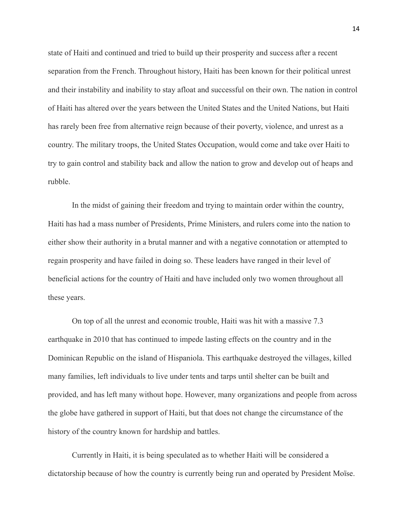state of Haiti and continued and tried to build up their prosperity and success after a recent separation from the French. Throughout history, Haiti has been known for their political unrest and their instability and inability to stay afloat and successful on their own. The nation in control of Haiti has altered over the years between the United States and the United Nations, but Haiti has rarely been free from alternative reign because of their poverty, violence, and unrest as a country. The military troops, the United States Occupation, would come and take over Haiti to try to gain control and stability back and allow the nation to grow and develop out of heaps and rubble.

In the midst of gaining their freedom and trying to maintain order within the country, Haiti has had a mass number of Presidents, Prime Ministers, and rulers come into the nation to either show their authority in a brutal manner and with a negative connotation or attempted to regain prosperity and have failed in doing so. These leaders have ranged in their level of beneficial actions for the country of Haiti and have included only two women throughout all these years.

On top of all the unrest and economic trouble, Haiti was hit with a massive 7.3 earthquake in 2010 that has continued to impede lasting effects on the country and in the Dominican Republic on the island of Hispaniola. This earthquake destroyed the villages, killed many families, left individuals to live under tents and tarps until shelter can be built and provided, and has left many without hope. However, many organizations and people from across the globe have gathered in support of Haiti, but that does not change the circumstance of the history of the country known for hardship and battles.

Currently in Haiti, it is being speculated as to whether Haiti will be considered a dictatorship because of how the country is currently being run and operated by President Moïse.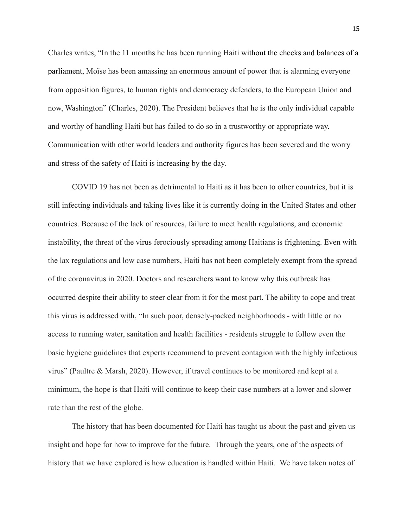Charles writes, "In the 11 months he has been running Haiti without the checks and balances of a parliament, Moïse has been amassing an enormous amount of power that is alarming everyone from opposition figures, to human rights and democracy defenders, to the European Union and now, Washington" (Charles, 2020). The President believes that he is the only individual capable and worthy of handling Haiti but has failed to do so in a trustworthy or appropriate way. Communication with other world leaders and authority figures has been severed and the worry and stress of the safety of Haiti is increasing by the day.

COVID 19 has not been as detrimental to Haiti as it has been to other countries, but it is still infecting individuals and taking lives like it is currently doing in the United States and other countries. Because of the lack of resources, failure to meet health regulations, and economic instability, the threat of the virus ferociously spreading among Haitians is frightening. Even with the lax regulations and low case numbers, Haiti has not been completely exempt from the spread of the coronavirus in 2020. Doctors and researchers want to know why this outbreak has occurred despite their ability to steer clear from it for the most part. The ability to cope and treat this virus is addressed with, "In such poor, densely-packed neighborhoods - with little or no access to running water, sanitation and health facilities - residents struggle to follow even the basic hygiene guidelines that experts recommend to prevent contagion with the highly infectious virus" (Paultre & Marsh, 2020). However, if travel continues to be monitored and kept at a minimum, the hope is that Haiti will continue to keep their case numbers at a lower and slower rate than the rest of the globe.

The history that has been documented for Haiti has taught us about the past and given us insight and hope for how to improve for the future. Through the years, one of the aspects of history that we have explored is how education is handled within Haiti. We have taken notes of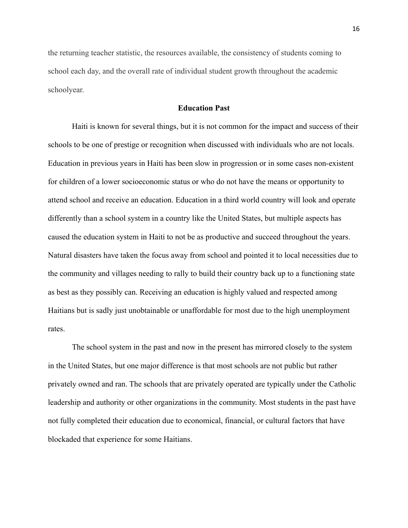the returning teacher statistic, the resources available, the consistency of students coming to school each day, and the overall rate of individual student growth throughout the academic schoolyear.

#### **Education Past**

Haiti is known for several things, but it is not common for the impact and success of their schools to be one of prestige or recognition when discussed with individuals who are not locals. Education in previous years in Haiti has been slow in progression or in some cases non-existent for children of a lower socioeconomic status or who do not have the means or opportunity to attend school and receive an education. Education in a third world country will look and operate differently than a school system in a country like the United States, but multiple aspects has caused the education system in Haiti to not be as productive and succeed throughout the years. Natural disasters have taken the focus away from school and pointed it to local necessities due to the community and villages needing to rally to build their country back up to a functioning state as best as they possibly can. Receiving an education is highly valued and respected among Haitians but is sadly just unobtainable or unaffordable for most due to the high unemployment rates.

The school system in the past and now in the present has mirrored closely to the system in the United States, but one major difference is that most schools are not public but rather privately owned and ran. The schools that are privately operated are typically under the Catholic leadership and authority or other organizations in the community. Most students in the past have not fully completed their education due to economical, financial, or cultural factors that have blockaded that experience for some Haitians.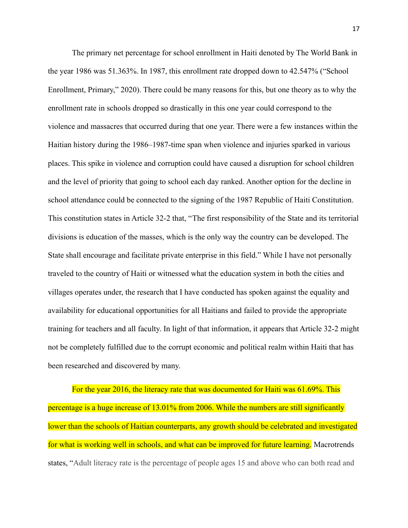The primary net percentage for school enrollment in Haiti denoted by The World Bank in the year 1986 was 51.363%. In 1987, this enrollment rate dropped down to 42.547% ("School Enrollment, Primary," 2020). There could be many reasons for this, but one theory as to why the enrollment rate in schools dropped so drastically in this one year could correspond to the violence and massacres that occurred during that one year. There were a few instances within the Haitian history during the 1986–1987-time span when violence and injuries sparked in various places. This spike in violence and corruption could have caused a disruption for school children and the level of priority that going to school each day ranked. Another option for the decline in school attendance could be connected to the signing of the 1987 Republic of Haiti Constitution. This constitution states in Article 32-2 that, "The first responsibility of the State and its territorial divisions is education of the masses, which is the only way the country can be developed. The State shall encourage and facilitate private enterprise in this field." While I have not personally traveled to the country of Haiti or witnessed what the education system in both the cities and villages operates under, the research that I have conducted has spoken against the equality and availability for educational opportunities for all Haitians and failed to provide the appropriate training for teachers and all faculty. In light of that information, it appears that Article 32-2 might not be completely fulfilled due to the corrupt economic and political realm within Haiti that has been researched and discovered by many.

For the year 2016, the literacy rate that was documented for Haiti was 61.69%. This percentage is a huge increase of 13.01% from 2006. While the numbers are still significantly lower than the schools of Haitian counterparts, any growth should be celebrated and investigated for what is working well in schools, and what can be improved for future learning. Macrotrends states, "Adult literacy rate is the percentage of people ages 15 and above who can both read and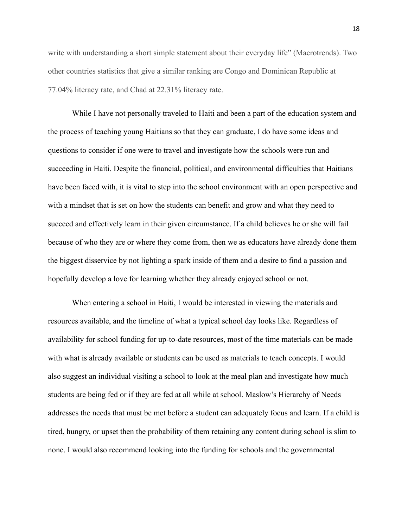write with understanding a short simple statement about their everyday life" (Macrotrends). Two other countries statistics that give a similar ranking are Congo and Dominican Republic at 77.04% literacy rate, and Chad at 22.31% literacy rate.

While I have not personally traveled to Haiti and been a part of the education system and the process of teaching young Haitians so that they can graduate, I do have some ideas and questions to consider if one were to travel and investigate how the schools were run and succeeding in Haiti. Despite the financial, political, and environmental difficulties that Haitians have been faced with, it is vital to step into the school environment with an open perspective and with a mindset that is set on how the students can benefit and grow and what they need to succeed and effectively learn in their given circumstance. If a child believes he or she will fail because of who they are or where they come from, then we as educators have already done them the biggest disservice by not lighting a spark inside of them and a desire to find a passion and hopefully develop a love for learning whether they already enjoyed school or not.

When entering a school in Haiti, I would be interested in viewing the materials and resources available, and the timeline of what a typical school day looks like. Regardless of availability for school funding for up-to-date resources, most of the time materials can be made with what is already available or students can be used as materials to teach concepts. I would also suggest an individual visiting a school to look at the meal plan and investigate how much students are being fed or if they are fed at all while at school. Maslow's Hierarchy of Needs addresses the needs that must be met before a student can adequately focus and learn. If a child is tired, hungry, or upset then the probability of them retaining any content during school is slim to none. I would also recommend looking into the funding for schools and the governmental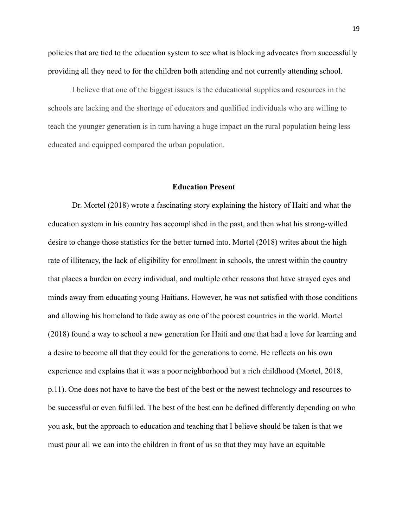policies that are tied to the education system to see what is blocking advocates from successfully providing all they need to for the children both attending and not currently attending school.

I believe that one of the biggest issues is the educational supplies and resources in the schools are lacking and the shortage of educators and qualified individuals who are willing to teach the younger generation is in turn having a huge impact on the rural population being less educated and equipped compared the urban population.

#### **Education Present**

Dr. Mortel (2018) wrote a fascinating story explaining the history of Haiti and what the education system in his country has accomplished in the past, and then what his strong-willed desire to change those statistics for the better turned into. Mortel (2018) writes about the high rate of illiteracy, the lack of eligibility for enrollment in schools, the unrest within the country that places a burden on every individual, and multiple other reasons that have strayed eyes and minds away from educating young Haitians. However, he was not satisfied with those conditions and allowing his homeland to fade away as one of the poorest countries in the world. Mortel (2018) found a way to school a new generation for Haiti and one that had a love for learning and a desire to become all that they could for the generations to come. He reflects on his own experience and explains that it was a poor neighborhood but a rich childhood (Mortel, 2018, p.11). One does not have to have the best of the best or the newest technology and resources to be successful or even fulfilled. The best of the best can be defined differently depending on who you ask, but the approach to education and teaching that I believe should be taken is that we must pour all we can into the children in front of us so that they may have an equitable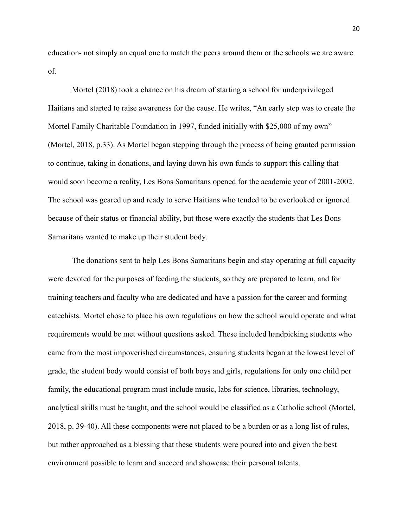education- not simply an equal one to match the peers around them or the schools we are aware of.

Mortel (2018) took a chance on his dream of starting a school for underprivileged Haitians and started to raise awareness for the cause. He writes, "An early step was to create the Mortel Family Charitable Foundation in 1997, funded initially with \$25,000 of my own" (Mortel, 2018, p.33). As Mortel began stepping through the process of being granted permission to continue, taking in donations, and laying down his own funds to support this calling that would soon become a reality, Les Bons Samaritans opened for the academic year of 2001-2002. The school was geared up and ready to serve Haitians who tended to be overlooked or ignored because of their status or financial ability, but those were exactly the students that Les Bons Samaritans wanted to make up their student body.

The donations sent to help Les Bons Samaritans begin and stay operating at full capacity were devoted for the purposes of feeding the students, so they are prepared to learn, and for training teachers and faculty who are dedicated and have a passion for the career and forming catechists. Mortel chose to place his own regulations on how the school would operate and what requirements would be met without questions asked. These included handpicking students who came from the most impoverished circumstances, ensuring students began at the lowest level of grade, the student body would consist of both boys and girls, regulations for only one child per family, the educational program must include music, labs for science, libraries, technology, analytical skills must be taught, and the school would be classified as a Catholic school (Mortel, 2018, p. 39-40). All these components were not placed to be a burden or as a long list of rules, but rather approached as a blessing that these students were poured into and given the best environment possible to learn and succeed and showcase their personal talents.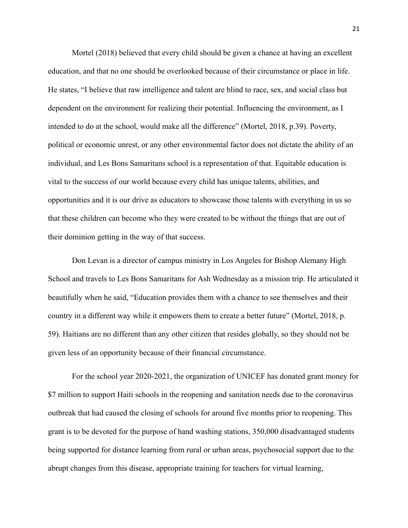Mortel (2018) believed that every child should be given a chance at having an excellent education, and that no one should be overlooked because of their circumstance or place in life. He states, "I believe that raw intelligence and talent are blind to race, sex, and social class but dependent on the environment for realizing their potential. Influencing the environment, as I intended to do at the school, would make all the difference" (Mortel, 2018, p.39). Poverty, political or economic unrest, or any other environmental factor does not dictate the ability of an individual, and Les Bons Samaritans school is a representation of that. Equitable education is vital to the success of our world because every child has unique talents, abilities, and opportunities and it is our drive as educators to showcase those talents with everything in us so that these children can become who they were created to be without the things that are out of their dominion getting in the way of that success.

Don Levan is a director of campus ministry in Los Angeles for Bishop Alemany High School and travels to Les Bons Samaritans for Ash Wednesday as a mission trip. He articulated it beautifully when he said, "Education provides them with a chance to see themselves and their country in a different way while it empowers them to create a better future" (Mortel, 2018, p. 59). Haitians are no different than any other citizen that resides globally, so they should not be given less of an opportunity because of their financial circumstance.

For the school year 2020-2021, the organization of UNICEF has donated grant money for \$7 million to support Haiti schools in the reopening and sanitation needs due to the coronavirus outbreak that had caused the closing of schools for around five months prior to reopening. This grant is to be devoted for the purpose of hand washing stations, 350,000 disadvantaged students being supported for distance learning from rural or urban areas, psychosocial support due to the abrupt changes from this disease, appropriate training for teachers for virtual learning,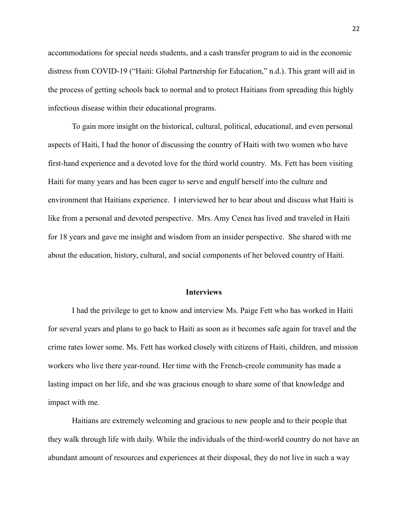accommodations for special needs students, and a cash transfer program to aid in the economic distress from COVID-19 ("Haiti: Global Partnership for Education," n.d.). This grant will aid in the process of getting schools back to normal and to protect Haitians from spreading this highly infectious disease within their educational programs.

To gain more insight on the historical, cultural, political, educational, and even personal aspects of Haiti, I had the honor of discussing the country of Haiti with two women who have first-hand experience and a devoted love for the third world country. Ms. Fett has been visiting Haiti for many years and has been eager to serve and engulf herself into the culture and environment that Haitians experience. I interviewed her to hear about and discuss what Haiti is like from a personal and devoted perspective. Mrs. Amy Cenea has lived and traveled in Haiti for 18 years and gave me insight and wisdom from an insider perspective. She shared with me about the education, history, cultural, and social components of her beloved country of Haiti.

#### **Interviews**

I had the privilege to get to know and interview Ms. Paige Fett who has worked in Haiti for several years and plans to go back to Haiti as soon as it becomes safe again for travel and the crime rates lower some. Ms. Fett has worked closely with citizens of Haiti, children, and mission workers who live there year-round. Her time with the French-creole community has made a lasting impact on her life, and she was gracious enough to share some of that knowledge and impact with me.

Haitians are extremely welcoming and gracious to new people and to their people that they walk through life with daily. While the individuals of the third-world country do not have an abundant amount of resources and experiences at their disposal, they do not live in such a way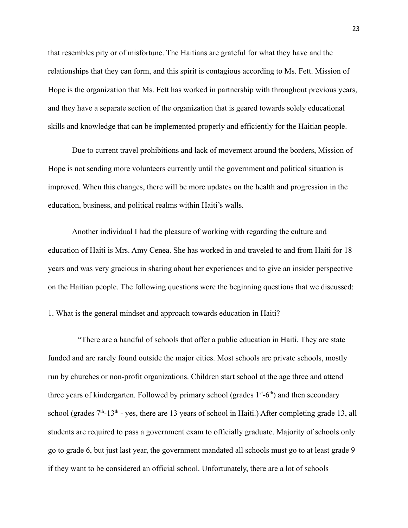that resembles pity or of misfortune. The Haitians are grateful for what they have and the relationships that they can form, and this spirit is contagious according to Ms. Fett. Mission of Hope is the organization that Ms. Fett has worked in partnership with throughout previous years, and they have a separate section of the organization that is geared towards solely educational skills and knowledge that can be implemented properly and efficiently for the Haitian people.

Due to current travel prohibitions and lack of movement around the borders, Mission of Hope is not sending more volunteers currently until the government and political situation is improved. When this changes, there will be more updates on the health and progression in the education, business, and political realms within Haiti's walls.

Another individual I had the pleasure of working with regarding the culture and education of Haiti is Mrs. Amy Cenea. She has worked in and traveled to and from Haiti for 18 years and was very gracious in sharing about her experiences and to give an insider perspective on the Haitian people. The following questions were the beginning questions that we discussed:

1. What is the general mindset and approach towards education in Haiti?

"There are a handful of schools that offer a public education in Haiti. They are state funded and are rarely found outside the major cities. Most schools are private schools, mostly run by churches or non-profit organizations. Children start school at the age three and attend three years of kindergarten. Followed by primary school (grades  $1<sup>st</sup>$ -6<sup>th</sup>) and then secondary school (grades  $7<sup>th</sup>$ -13<sup>th</sup> - yes, there are 13 years of school in Haiti.) After completing grade 13, all students are required to pass a government exam to officially graduate. Majority of schools only go to grade 6, but just last year, the government mandated all schools must go to at least grade 9 if they want to be considered an official school. Unfortunately, there are a lot of schools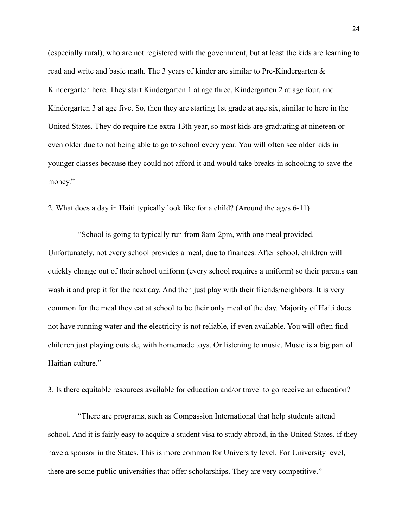(especially rural), who are not registered with the government, but at least the kids are learning to read and write and basic math. The 3 years of kinder are similar to Pre-Kindergarten & Kindergarten here. They start Kindergarten 1 at age three, Kindergarten 2 at age four, and Kindergarten 3 at age five. So, then they are starting 1st grade at age six, similar to here in the United States. They do require the extra 13th year, so most kids are graduating at nineteen or even older due to not being able to go to school every year. You will often see older kids in younger classes because they could not afford it and would take breaks in schooling to save the money."

2. What does a day in Haiti typically look like for a child? (Around the ages 6-11)

"School is going to typically run from 8am-2pm, with one meal provided. Unfortunately, not every school provides a meal, due to finances. After school, children will quickly change out of their school uniform (every school requires a uniform) so their parents can wash it and prep it for the next day. And then just play with their friends/neighbors. It is very common for the meal they eat at school to be their only meal of the day. Majority of Haiti does not have running water and the electricity is not reliable, if even available. You will often find children just playing outside, with homemade toys. Or listening to music. Music is a big part of Haitian culture."

3. Is there equitable resources available for education and/or travel to go receive an education?

"There are programs, such as Compassion International that help students attend school. And it is fairly easy to acquire a student visa to study abroad, in the United States, if they have a sponsor in the States. This is more common for University level. For University level, there are some public universities that offer scholarships. They are very competitive."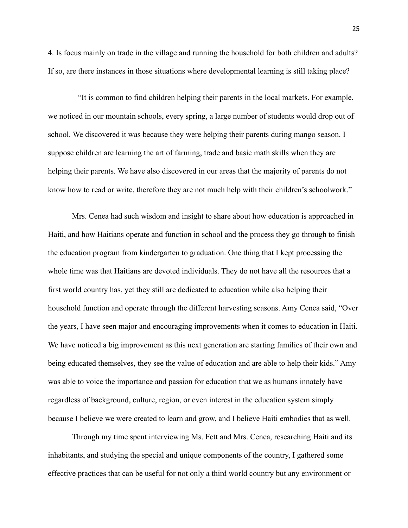4. Is focus mainly on trade in the village and running the household for both children and adults? If so, are there instances in those situations where developmental learning is still taking place?

"It is common to find children helping their parents in the local markets. For example, we noticed in our mountain schools, every spring, a large number of students would drop out of school. We discovered it was because they were helping their parents during mango season. I suppose children are learning the art of farming, trade and basic math skills when they are helping their parents. We have also discovered in our areas that the majority of parents do not know how to read or write, therefore they are not much help with their children's schoolwork."

Mrs. Cenea had such wisdom and insight to share about how education is approached in Haiti, and how Haitians operate and function in school and the process they go through to finish the education program from kindergarten to graduation. One thing that I kept processing the whole time was that Haitians are devoted individuals. They do not have all the resources that a first world country has, yet they still are dedicated to education while also helping their household function and operate through the different harvesting seasons. Amy Cenea said, "Over the years, I have seen major and encouraging improvements when it comes to education in Haiti. We have noticed a big improvement as this next generation are starting families of their own and being educated themselves, they see the value of education and are able to help their kids." Amy was able to voice the importance and passion for education that we as humans innately have regardless of background, culture, region, or even interest in the education system simply because I believe we were created to learn and grow, and I believe Haiti embodies that as well.

Through my time spent interviewing Ms. Fett and Mrs. Cenea, researching Haiti and its inhabitants, and studying the special and unique components of the country, I gathered some effective practices that can be useful for not only a third world country but any environment or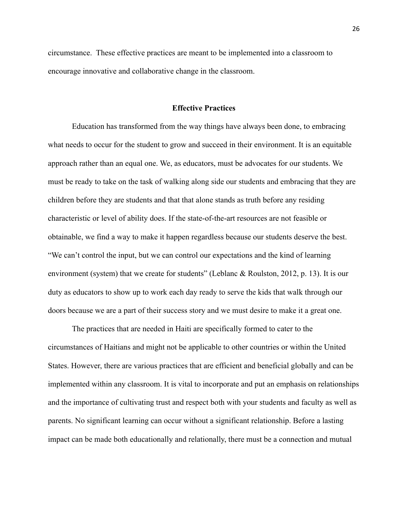circumstance. These effective practices are meant to be implemented into a classroom to encourage innovative and collaborative change in the classroom.

#### **Effective Practices**

Education has transformed from the way things have always been done, to embracing what needs to occur for the student to grow and succeed in their environment. It is an equitable approach rather than an equal one. We, as educators, must be advocates for our students. We must be ready to take on the task of walking along side our students and embracing that they are children before they are students and that that alone stands as truth before any residing characteristic or level of ability does. If the state-of-the-art resources are not feasible or obtainable, we find a way to make it happen regardless because our students deserve the best. "We can't control the input, but we can control our expectations and the kind of learning environment (system) that we create for students" (Leblanc & Roulston, 2012, p. 13). It is our duty as educators to show up to work each day ready to serve the kids that walk through our doors because we are a part of their success story and we must desire to make it a great one.

The practices that are needed in Haiti are specifically formed to cater to the circumstances of Haitians and might not be applicable to other countries or within the United States. However, there are various practices that are efficient and beneficial globally and can be implemented within any classroom. It is vital to incorporate and put an emphasis on relationships and the importance of cultivating trust and respect both with your students and faculty as well as parents. No significant learning can occur without a significant relationship. Before a lasting impact can be made both educationally and relationally, there must be a connection and mutual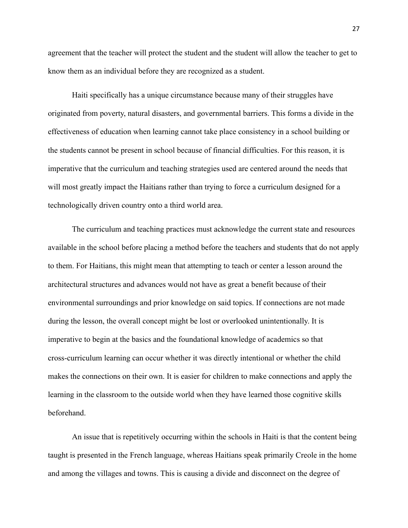agreement that the teacher will protect the student and the student will allow the teacher to get to know them as an individual before they are recognized as a student.

Haiti specifically has a unique circumstance because many of their struggles have originated from poverty, natural disasters, and governmental barriers. This forms a divide in the effectiveness of education when learning cannot take place consistency in a school building or the students cannot be present in school because of financial difficulties. For this reason, it is imperative that the curriculum and teaching strategies used are centered around the needs that will most greatly impact the Haitians rather than trying to force a curriculum designed for a technologically driven country onto a third world area.

The curriculum and teaching practices must acknowledge the current state and resources available in the school before placing a method before the teachers and students that do not apply to them. For Haitians, this might mean that attempting to teach or center a lesson around the architectural structures and advances would not have as great a benefit because of their environmental surroundings and prior knowledge on said topics. If connections are not made during the lesson, the overall concept might be lost or overlooked unintentionally. It is imperative to begin at the basics and the foundational knowledge of academics so that cross-curriculum learning can occur whether it was directly intentional or whether the child makes the connections on their own. It is easier for children to make connections and apply the learning in the classroom to the outside world when they have learned those cognitive skills beforehand.

An issue that is repetitively occurring within the schools in Haiti is that the content being taught is presented in the French language, whereas Haitians speak primarily Creole in the home and among the villages and towns. This is causing a divide and disconnect on the degree of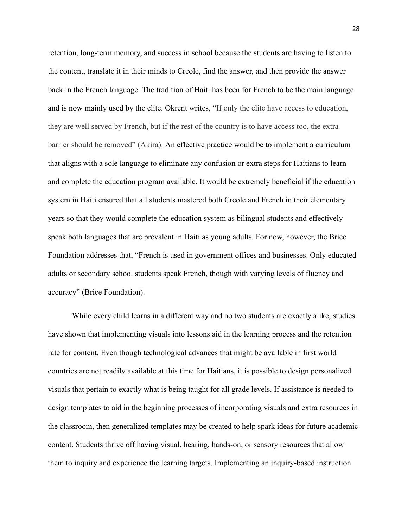retention, long-term memory, and success in school because the students are having to listen to the content, translate it in their minds to Creole, find the answer, and then provide the answer back in the French language. The tradition of Haiti has been for French to be the main language and is now mainly used by the elite. Okrent writes, "If only the elite have access to education, they are well served by French, but if the rest of the country is to have access too, the extra barrier should be removed" (Akira). An effective practice would be to implement a curriculum that aligns with a sole language to eliminate any confusion or extra steps for Haitians to learn and complete the education program available. It would be extremely beneficial if the education system in Haiti ensured that all students mastered both Creole and French in their elementary years so that they would complete the education system as bilingual students and effectively speak both languages that are prevalent in Haiti as young adults. For now, however, the Brice Foundation addresses that, "French is used in government offices and businesses. Only educated adults or secondary school students speak French, though with varying levels of fluency and accuracy" (Brice Foundation).

While every child learns in a different way and no two students are exactly alike, studies have shown that implementing visuals into lessons aid in the learning process and the retention rate for content. Even though technological advances that might be available in first world countries are not readily available at this time for Haitians, it is possible to design personalized visuals that pertain to exactly what is being taught for all grade levels. If assistance is needed to design templates to aid in the beginning processes of incorporating visuals and extra resources in the classroom, then generalized templates may be created to help spark ideas for future academic content. Students thrive off having visual, hearing, hands-on, or sensory resources that allow them to inquiry and experience the learning targets. Implementing an inquiry-based instruction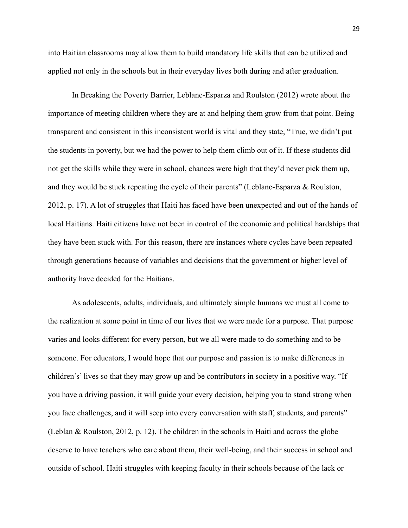into Haitian classrooms may allow them to build mandatory life skills that can be utilized and applied not only in the schools but in their everyday lives both during and after graduation.

In Breaking the Poverty Barrier, Leblanc-Esparza and Roulston (2012) wrote about the importance of meeting children where they are at and helping them grow from that point. Being transparent and consistent in this inconsistent world is vital and they state, "True, we didn't put the students in poverty, but we had the power to help them climb out of it. If these students did not get the skills while they were in school, chances were high that they'd never pick them up, and they would be stuck repeating the cycle of their parents" (Leblanc-Esparza & Roulston, 2012, p. 17). A lot of struggles that Haiti has faced have been unexpected and out of the hands of local Haitians. Haiti citizens have not been in control of the economic and political hardships that they have been stuck with. For this reason, there are instances where cycles have been repeated through generations because of variables and decisions that the government or higher level of authority have decided for the Haitians.

As adolescents, adults, individuals, and ultimately simple humans we must all come to the realization at some point in time of our lives that we were made for a purpose. That purpose varies and looks different for every person, but we all were made to do something and to be someone. For educators, I would hope that our purpose and passion is to make differences in children's' lives so that they may grow up and be contributors in society in a positive way. "If you have a driving passion, it will guide your every decision, helping you to stand strong when you face challenges, and it will seep into every conversation with staff, students, and parents" (Leblan & Roulston, 2012, p. 12). The children in the schools in Haiti and across the globe deserve to have teachers who care about them, their well-being, and their success in school and outside of school. Haiti struggles with keeping faculty in their schools because of the lack or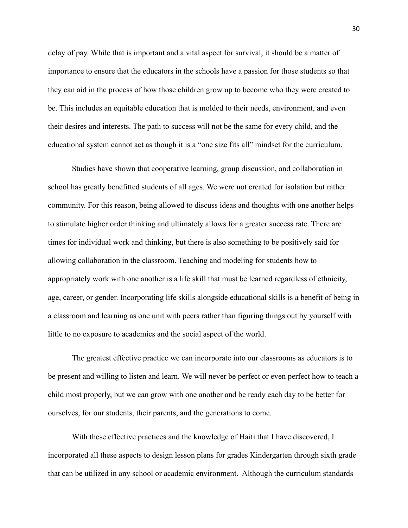delay of pay. While that is important and a vital aspect for survival, it should be a matter of importance to ensure that the educators in the schools have a passion for those students so that they can aid in the process of how those children grow up to become who they were created to be. This includes an equitable education that is molded to their needs, environment, and even their desires and interests. The path to success will not be the same for every child, and the educational system cannot act as though it is a "one size fits all" mindset for the curriculum.

Studies have shown that cooperative learning, group discussion, and collaboration in school has greatly benefitted students of all ages. We were not created for isolation but rather community. For this reason, being allowed to discuss ideas and thoughts with one another helps to stimulate higher order thinking and ultimately allows for a greater success rate. There are times for individual work and thinking, but there is also something to be positively said for allowing collaboration in the classroom. Teaching and modeling for students how to appropriately work with one another is a life skill that must be learned regardless of ethnicity, age, career, or gender. Incorporating life skills alongside educational skills is a benefit of being in a classroom and learning as one unit with peers rather than figuring things out by yourself with little to no exposure to academics and the social aspect of the world.

The greatest effective practice we can incorporate into our classrooms as educators is to be present and willing to listen and learn. We will never be perfect or even perfect how to teach a child most properly, but we can grow with one another and be ready each day to be better for ourselves, for our students, their parents, and the generations to come.

With these effective practices and the knowledge of Haiti that I have discovered, I incorporated all these aspects to design lesson plans for grades Kindergarten through sixth grade that can be utilized in any school or academic environment. Although the curriculum standards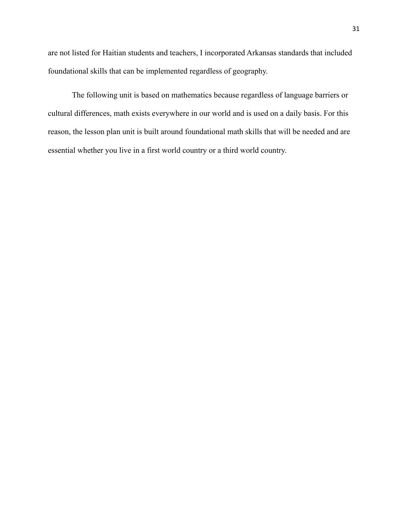are not listed for Haitian students and teachers, I incorporated Arkansas standards that included foundational skills that can be implemented regardless of geography.

The following unit is based on mathematics because regardless of language barriers or cultural differences, math exists everywhere in our world and is used on a daily basis. For this reason, the lesson plan unit is built around foundational math skills that will be needed and are essential whether you live in a first world country or a third world country.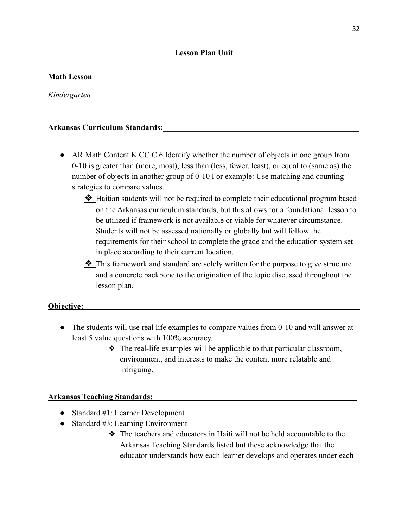#### **Lesson Plan Unit**

#### **Math Lesson**

*Kindergarten*

#### **Arkansas Curriculum Standards:\_\_\_\_\_\_\_\_\_\_\_\_\_\_\_\_\_\_\_\_\_\_\_\_\_\_\_\_\_\_\_\_\_\_\_\_\_\_\_\_\_\_\_\_\_\_\_\_\_**

- AR. Math. Content. K.CC.C.6 Identify whether the number of objects in one group from 0-10 is greater than (more, most), less than (less, fewer, least), or equal to (same as) the number of objects in another group of 0-10 For example: Use matching and counting strategies to compare values.
	- ❖ Haitian students will not be required to complete their educational program based on the Arkansas curriculum standards, but this allows for a foundational lesson to be utilized if framework is not available or viable for whatever circumstance. Students will not be assessed nationally or globally but will follow the requirements for their school to complete the grade and the education system set in place according to their current location.
	- ❖ This framework and standard are solely written for the purpose to give structure and a concrete backbone to the origination of the topic discussed throughout the lesson plan.

#### **Objective:**

- The students will use real life examples to compare values from 0-10 and will answer at least 5 value questions with 100% accuracy.
	- ❖ The real-life examples will be applicable to that particular classroom, environment, and interests to make the content more relatable and intriguing.

#### **Arkansas Teaching Standards:\_\_\_\_\_\_\_\_\_\_\_\_\_\_\_\_\_\_\_\_\_\_\_\_\_\_\_\_\_\_\_\_\_\_\_\_\_\_\_\_\_\_\_\_\_\_\_\_\_\_\_**

- Standard #1: Learner Development
- Standard  $#3$ : Learning Environment
	- ❖ The teachers and educators in Haiti will not be held accountable to the Arkansas Teaching Standards listed but these acknowledge that the educator understands how each learner develops and operates under each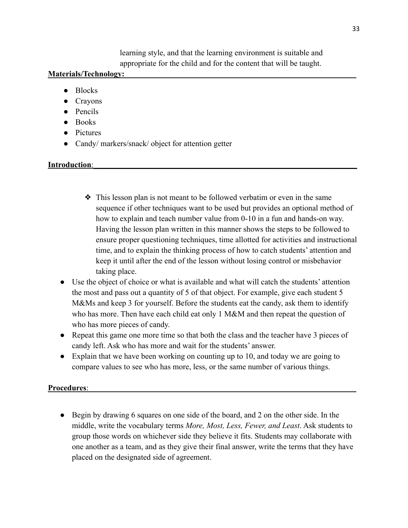learning style, and that the learning environment is suitable and appropriate for the child and for the content that will be taught.

### **Materials/Technology:**

- Blocks
- Crayons
- Pencils
- Books
- Pictures
- Candy/ markers/snack/ object for attention getter

### **Introduction**:

- ❖ This lesson plan is not meant to be followed verbatim or even in the same sequence if other techniques want to be used but provides an optional method of how to explain and teach number value from 0-10 in a fun and hands-on way. Having the lesson plan written in this manner shows the steps to be followed to ensure proper questioning techniques, time allotted for activities and instructional time, and to explain the thinking process of how to catch students' attention and keep it until after the end of the lesson without losing control or misbehavior taking place.
- Use the object of choice or what is available and what will catch the students' attention the most and pass out a quantity of 5 of that object. For example, give each student 5 M&Ms and keep 3 for yourself. Before the students eat the candy, ask them to identify who has more. Then have each child eat only 1 M&M and then repeat the question of who has more pieces of candy.
- Repeat this game one more time so that both the class and the teacher have 3 pieces of candy left. Ask who has more and wait for the students' answer.
- Explain that we have been working on counting up to 10, and today we are going to compare values to see who has more, less, or the same number of various things.

#### Procedures:

● Begin by drawing 6 squares on one side of the board, and 2 on the other side. In the middle, write the vocabulary terms *More, Most, Less, Fewer, and Least*. Ask students to group those words on whichever side they believe it fits. Students may collaborate with one another as a team, and as they give their final answer, write the terms that they have placed on the designated side of agreement.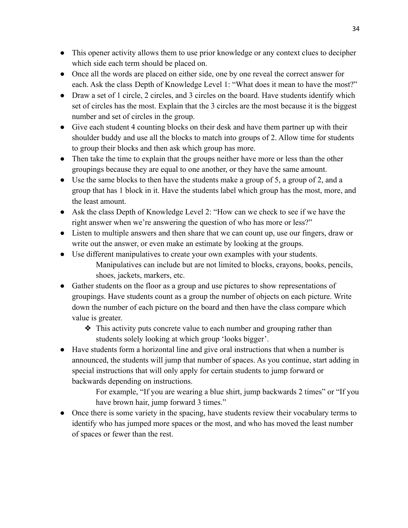- This opener activity allows them to use prior knowledge or any context clues to decipher which side each term should be placed on.
- Once all the words are placed on either side, one by one reveal the correct answer for each. Ask the class Depth of Knowledge Level 1: "What does it mean to have the most?"
- Draw a set of 1 circle, 2 circles, and 3 circles on the board. Have students identify which set of circles has the most. Explain that the 3 circles are the most because it is the biggest number and set of circles in the group.
- Give each student 4 counting blocks on their desk and have them partner up with their shoulder buddy and use all the blocks to match into groups of 2. Allow time for students to group their blocks and then ask which group has more.
- Then take the time to explain that the groups neither have more or less than the other groupings because they are equal to one another, or they have the same amount.
- Use the same blocks to then have the students make a group of 5, a group of 2, and a group that has 1 block in it. Have the students label which group has the most, more, and the least amount.
- Ask the class Depth of Knowledge Level 2: "How can we check to see if we have the right answer when we're answering the question of who has more or less?"
- Listen to multiple answers and then share that we can count up, use our fingers, draw or write out the answer, or even make an estimate by looking at the groups.
- Use different manipulatives to create your own examples with your students. Manipulatives can include but are not limited to blocks, crayons, books, pencils, shoes, jackets, markers, etc.
- Gather students on the floor as a group and use pictures to show representations of groupings. Have students count as a group the number of objects on each picture. Write down the number of each picture on the board and then have the class compare which value is greater.
	- ❖ This activity puts concrete value to each number and grouping rather than students solely looking at which group 'looks bigger'.
- Have students form a horizontal line and give oral instructions that when a number is announced, the students will jump that number of spaces. As you continue, start adding in special instructions that will only apply for certain students to jump forward or backwards depending on instructions.

For example, "If you are wearing a blue shirt, jump backwards 2 times" or "If you have brown hair, jump forward 3 times."

• Once there is some variety in the spacing, have students review their vocabulary terms to identify who has jumped more spaces or the most, and who has moved the least number of spaces or fewer than the rest.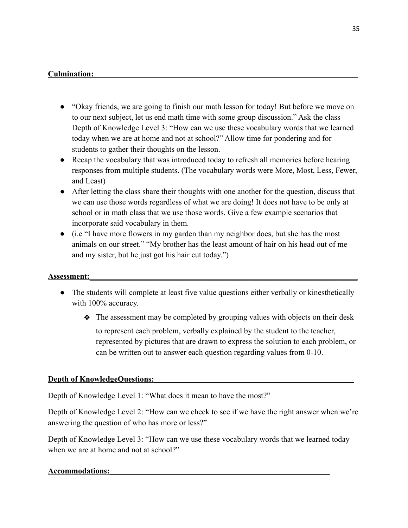### Culmination:

- "Okay friends, we are going to finish our math lesson for today! But before we move on to our next subject, let us end math time with some group discussion." Ask the class Depth of Knowledge Level 3: "How can we use these vocabulary words that we learned today when we are at home and not at school?" Allow time for pondering and for students to gather their thoughts on the lesson.
- Recap the vocabulary that was introduced today to refresh all memories before hearing responses from multiple students. (The vocabulary words were More, Most, Less, Fewer, and Least)
- After letting the class share their thoughts with one another for the question, discuss that we can use those words regardless of what we are doing! It does not have to be only at school or in math class that we use those words. Give a few example scenarios that incorporate said vocabulary in them.
- (i.e "I have more flowers in my garden than my neighbor does, but she has the most animals on our street." "My brother has the least amount of hair on his head out of me and my sister, but he just got his hair cut today.")

#### **Assessment:\_\_\_\_\_\_\_\_\_\_\_\_\_\_\_\_\_\_\_\_\_\_\_\_\_\_\_\_\_\_\_\_\_\_\_\_\_\_\_\_\_\_\_\_\_\_\_\_\_\_\_\_\_\_\_\_\_\_\_\_\_\_\_\_\_\_\_**

- The students will complete at least five value questions either verbally or kinesthetically with 100% accuracy.
	- ❖ The assessment may be completed by grouping values with objects on their desk to represent each problem, verbally explained by the student to the teacher, represented by pictures that are drawn to express the solution to each problem, or can be written out to answer each question regarding values from 0-10.

### **Depth of KnowledgeQuestions:**

Depth of Knowledge Level 1: "What does it mean to have the most?"

Depth of Knowledge Level 2: "How can we check to see if we have the right answer when we're answering the question of who has more or less?"

Depth of Knowledge Level 3: "How can we use these vocabulary words that we learned today when we are at home and not at school?"

### **Accommodations:\_\_\_\_\_\_\_\_\_\_\_\_\_\_\_\_\_\_\_\_\_\_\_\_\_\_\_\_\_\_\_\_\_\_\_\_\_\_\_\_\_\_\_\_\_\_\_\_\_\_\_\_\_\_\_**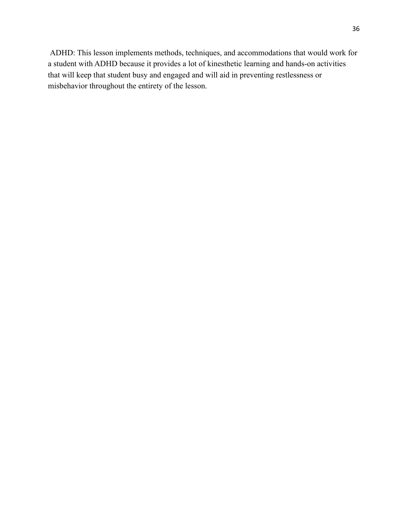ADHD: This lesson implements methods, techniques, and accommodations that would work for a student with ADHD because it provides a lot of kinesthetic learning and hands-on activities that will keep that student busy and engaged and will aid in preventing restlessness or misbehavior throughout the entirety of the lesson.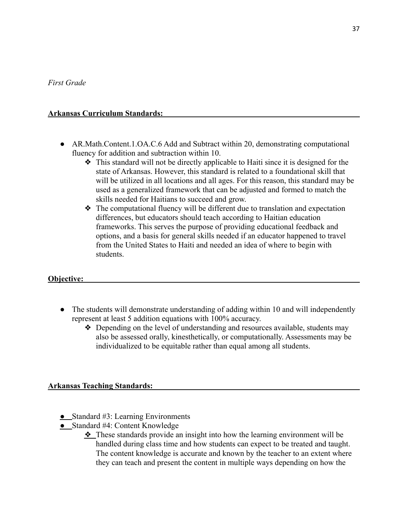### **Arkansas Curriculum Standards:**

- AR.Math.Content.1.OA.C.6 Add and Subtract within 20, demonstrating computational fluency for addition and subtraction within 10.
	- ❖ This standard will not be directly applicable to Haiti since it is designed for the state of Arkansas. However, this standard is related to a foundational skill that will be utilized in all locations and all ages. For this reason, this standard may be used as a generalized framework that can be adjusted and formed to match the skills needed for Haitians to succeed and grow.
	- ❖ The computational fluency will be different due to translation and expectation differences, but educators should teach according to Haitian education frameworks. This serves the purpose of providing educational feedback and options, and a basis for general skills needed if an educator happened to travel from the United States to Haiti and needed an idea of where to begin with students.

### **Objective:**

- The students will demonstrate understanding of adding within 10 and will independently represent at least 5 addition equations with 100% accuracy.
	- ❖ Depending on the level of understanding and resources available, students may also be assessed orally, kinesthetically, or computationally. Assessments may be individualized to be equitable rather than equal among all students.

### **Arkansas Teaching Standards:**

- **●** Standard #3: Learning Environments
- **●** Standard #4: Content Knowledge
	- ❖ These standards provide an insight into how the learning environment will be handled during class time and how students can expect to be treated and taught. The content knowledge is accurate and known by the teacher to an extent where they can teach and present the content in multiple ways depending on how the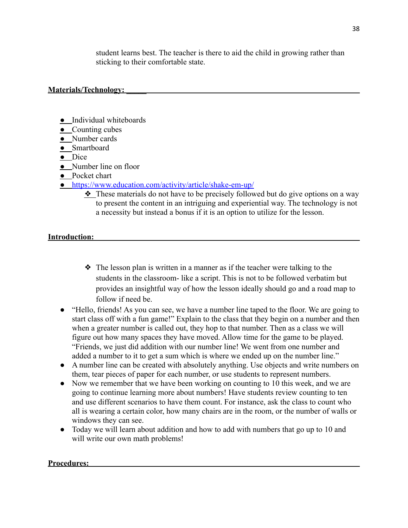student learns best. The teacher is there to aid the child in growing rather than sticking to their comfortable state.

### **Materials/Technology: \_\_\_\_\_**

- **●** Individual whiteboards
- **●** Counting cubes
- **●** Number cards
- **●** Smartboard
- **●** Dice
- **●** Number line on floor
- **●** Pocket chart
- **●** <https://www.education.com/activity/article/shake-em-up/>
	- ❖ These materials do not have to be precisely followed but do give options on a way to present the content in an intriguing and experiential way. The technology is not a necessity but instead a bonus if it is an option to utilize for the lesson.

#### **Introduction:**

- ❖ The lesson plan is written in a manner as if the teacher were talking to the students in the classroom- like a script. This is not to be followed verbatim but provides an insightful way of how the lesson ideally should go and a road map to follow if need be.
- "Hello, friends! As you can see, we have a number line taped to the floor. We are going to start class off with a fun game!" Explain to the class that they begin on a number and then when a greater number is called out, they hop to that number. Then as a class we will figure out how many spaces they have moved. Allow time for the game to be played. "Friends, we just did addition with our number line! We went from one number and added a number to it to get a sum which is where we ended up on the number line."
- A number line can be created with absolutely anything. Use objects and write numbers on them, tear pieces of paper for each number, or use students to represent numbers.
- Now we remember that we have been working on counting to 10 this week, and we are going to continue learning more about numbers! Have students review counting to ten and use different scenarios to have them count. For instance, ask the class to count who all is wearing a certain color, how many chairs are in the room, or the number of walls or windows they can see.
- Today we will learn about addition and how to add with numbers that go up to 10 and will write our own math problems!

#### **Procedures:**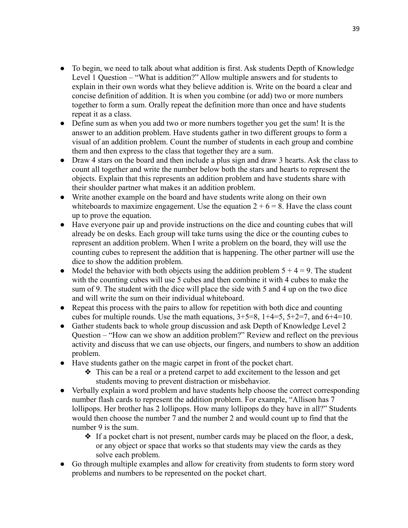- To begin, we need to talk about what addition is first. Ask students Depth of Knowledge Level 1 Question – "What is addition?" Allow multiple answers and for students to explain in their own words what they believe addition is. Write on the board a clear and concise definition of addition. It is when you combine (or add) two or more numbers together to form a sum. Orally repeat the definition more than once and have students repeat it as a class.
- Define sum as when you add two or more numbers together you get the sum! It is the answer to an addition problem. Have students gather in two different groups to form a visual of an addition problem. Count the number of students in each group and combine them and then express to the class that together they are a sum.
- Draw 4 stars on the board and then include a plus sign and draw 3 hearts. Ask the class to count all together and write the number below both the stars and hearts to represent the objects. Explain that this represents an addition problem and have students share with their shoulder partner what makes it an addition problem.
- Write another example on the board and have students write along on their own whiteboards to maximize engagement. Use the equation  $2 + 6 = 8$ . Have the class count up to prove the equation.
- Have everyone pair up and provide instructions on the dice and counting cubes that will already be on desks. Each group will take turns using the dice or the counting cubes to represent an addition problem. When I write a problem on the board, they will use the counting cubes to represent the addition that is happening. The other partner will use the dice to show the addition problem.
- Model the behavior with both objects using the addition problem  $5 + 4 = 9$ . The student with the counting cubes will use 5 cubes and then combine it with 4 cubes to make the sum of 9. The student with the dice will place the side with 5 and 4 up on the two dice and will write the sum on their individual whiteboard.
- Repeat this process with the pairs to allow for repetition with both dice and counting cubes for multiple rounds. Use the math equations,  $3+5=8$ ,  $1+4=5$ ,  $5+2=7$ , and  $6+4=10$ .
- Gather students back to whole group discussion and ask Depth of Knowledge Level 2 Question – "How can we show an addition problem?" Review and reflect on the previous activity and discuss that we can use objects, our fingers, and numbers to show an addition problem.
- Have students gather on the magic carpet in front of the pocket chart.
	- ❖ This can be a real or a pretend carpet to add excitement to the lesson and get students moving to prevent distraction or misbehavior.
- Verbally explain a word problem and have students help choose the correct corresponding number flash cards to represent the addition problem. For example, "Allison has 7 lollipops. Her brother has 2 lollipops. How many lollipops do they have in all?" Students would then choose the number 7 and the number 2 and would count up to find that the number 9 is the sum.
	- ❖ If a pocket chart is not present, number cards may be placed on the floor, a desk, or any object or space that works so that students may view the cards as they solve each problem.
- Go through multiple examples and allow for creativity from students to form story word problems and numbers to be represented on the pocket chart.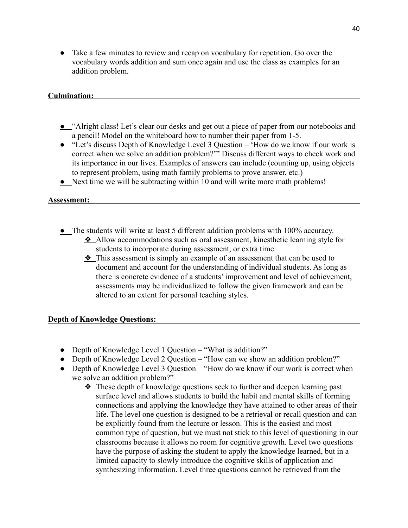● Take a few minutes to review and recap on vocabulary for repetition. Go over the vocabulary words addition and sum once again and use the class as examples for an addition problem.

### **Culmination:**

- **●** "Alright class! Let's clear our desks and get out a piece of paper from our notebooks and a pencil! Model on the whiteboard how to number their paper from 1-5.
- "Let's discuss Depth of Knowledge Level 3 Question 'How do we know if our work is correct when we solve an addition problem?'" Discuss different ways to check work and its importance in our lives. Examples of answers can include (counting up, using objects to represent problem, using math family problems to prove answer, etc.)
- **●** Next time we will be subtracting within 10 and will write more math problems!

### **Assessment:**

- **●** The students will write at least 5 different addition problems with 100% accuracy.
	- ❖ Allow accommodations such as oral assessment, kinesthetic learning style for students to incorporate during assessment, or extra time.
	- ❖ This assessment is simply an example of an assessment that can be used to document and account for the understanding of individual students. As long as there is concrete evidence of a students' improvement and level of achievement, assessments may be individualized to follow the given framework and can be altered to an extent for personal teaching styles.

### **Depth of Knowledge Questions:**

- Depth of Knowledge Level 1 Question "What is addition?"
- Depth of Knowledge Level 2 Question "How can we show an addition problem?"
- Depth of Knowledge Level 3 Question "How do we know if our work is correct when we solve an addition problem?"
	- ❖ These depth of knowledge questions seek to further and deepen learning past surface level and allows students to build the habit and mental skills of forming connections and applying the knowledge they have attained to other areas of their life. The level one question is designed to be a retrieval or recall question and can be explicitly found from the lecture or lesson. This is the easiest and most common type of question, but we must not stick to this level of questioning in our classrooms because it allows no room for cognitive growth. Level two questions have the purpose of asking the student to apply the knowledge learned, but in a limited capacity to slowly introduce the cognitive skills of application and synthesizing information. Level three questions cannot be retrieved from the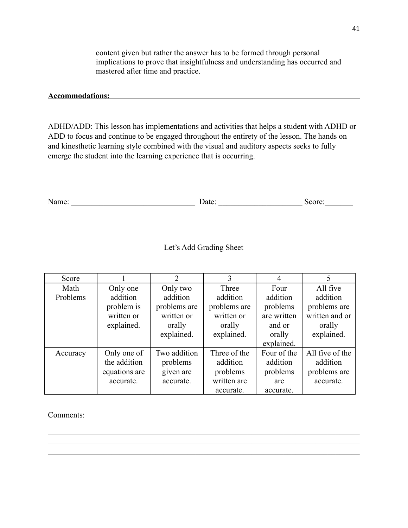content given but rather the answer has to be formed through personal implications to prove that insightfulness and understanding has occurred and mastered after time and practice.

#### **Accommodations:**

ADHD/ADD: This lesson has implementations and activities that helps a student with ADHD or ADD to focus and continue to be engaged throughout the entirety of the lesson. The hands on and kinesthetic learning style combined with the visual and auditory aspects seeks to fully emerge the student into the learning experience that is occurring.

| ∼ ∼<br>` |  |  |
|----------|--|--|
|----------|--|--|

# Let's Add Grading Sheet

| Score    |               | $\mathfrak{D}$ | 3            | 4           | 5               |
|----------|---------------|----------------|--------------|-------------|-----------------|
| Math     | Only one      | Only two       | Three        | Four        | All five        |
| Problems | addition      | addition       | addition     | addition    | addition        |
|          | problem is    | problems are   | problems are | problems    | problems are    |
|          | written or    | written or     | written or   | are written | written and or  |
|          | explained.    | orally         | orally       | and or      | orally          |
|          |               | explained.     | explained.   | orally      | explained.      |
|          |               |                |              | explained.  |                 |
| Accuracy | Only one of   | Two addition   | Three of the | Four of the | All five of the |
|          | the addition  | problems       | addition     | addition    | addition        |
|          | equations are | given are      | problems     | problems    | problems are    |
|          | accurate.     | accurate.      | written are  | are         | accurate.       |
|          |               |                | accurate.    | accurate.   |                 |

 $\mathcal{L}_\mathcal{L} = \{ \mathcal{L}_\mathcal{L} = \{ \mathcal{L}_\mathcal{L} = \{ \mathcal{L}_\mathcal{L} = \{ \mathcal{L}_\mathcal{L} = \{ \mathcal{L}_\mathcal{L} = \{ \mathcal{L}_\mathcal{L} = \{ \mathcal{L}_\mathcal{L} = \{ \mathcal{L}_\mathcal{L} = \{ \mathcal{L}_\mathcal{L} = \{ \mathcal{L}_\mathcal{L} = \{ \mathcal{L}_\mathcal{L} = \{ \mathcal{L}_\mathcal{L} = \{ \mathcal{L}_\mathcal{L} = \{ \mathcal{L}_\mathcal{$  $\mathcal{L}_\mathcal{L} = \{ \mathcal{L}_\mathcal{L} = \{ \mathcal{L}_\mathcal{L} = \{ \mathcal{L}_\mathcal{L} = \{ \mathcal{L}_\mathcal{L} = \{ \mathcal{L}_\mathcal{L} = \{ \mathcal{L}_\mathcal{L} = \{ \mathcal{L}_\mathcal{L} = \{ \mathcal{L}_\mathcal{L} = \{ \mathcal{L}_\mathcal{L} = \{ \mathcal{L}_\mathcal{L} = \{ \mathcal{L}_\mathcal{L} = \{ \mathcal{L}_\mathcal{L} = \{ \mathcal{L}_\mathcal{L} = \{ \mathcal{L}_\mathcal{$  $\mathcal{L}_\mathcal{L} = \{ \mathcal{L}_\mathcal{L} = \{ \mathcal{L}_\mathcal{L} = \{ \mathcal{L}_\mathcal{L} = \{ \mathcal{L}_\mathcal{L} = \{ \mathcal{L}_\mathcal{L} = \{ \mathcal{L}_\mathcal{L} = \{ \mathcal{L}_\mathcal{L} = \{ \mathcal{L}_\mathcal{L} = \{ \mathcal{L}_\mathcal{L} = \{ \mathcal{L}_\mathcal{L} = \{ \mathcal{L}_\mathcal{L} = \{ \mathcal{L}_\mathcal{L} = \{ \mathcal{L}_\mathcal{L} = \{ \mathcal{L}_\mathcal{$ 

Comments: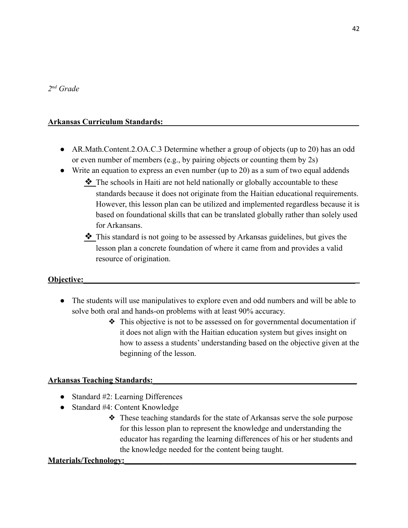### **Arkansas Curriculum Standards:\_\_\_\_\_\_\_\_\_\_\_\_\_\_\_\_\_\_\_\_\_\_\_\_\_\_\_\_\_\_\_\_\_\_\_\_\_\_\_\_\_\_\_\_\_\_\_\_\_**

- AR. Math. Content. 2. OA. C. 3 Determine whether a group of objects (up to 20) has an odd or even number of members (e.g., by pairing objects or counting them by 2s)
- Write an equation to express an even number (up to 20) as a sum of two equal addends
	- ❖ The schools in Haiti are not held nationally or globally accountable to these standards because it does not originate from the Haitian educational requirements. However, this lesson plan can be utilized and implemented regardless because it is based on foundational skills that can be translated globally rather than solely used for Arkansans.
	- ❖ This standard is not going to be assessed by Arkansas guidelines, but gives the lesson plan a concrete foundation of where it came from and provides a valid resource of origination.

#### **Objective:\_\_\_\_\_\_\_\_\_\_\_\_\_\_\_\_\_\_\_\_\_\_\_\_\_\_\_\_\_\_\_\_\_\_\_\_\_\_\_\_\_\_\_\_\_\_\_\_\_\_\_\_\_\_\_\_\_\_\_\_\_\_\_\_\_\_\_\_**

- The students will use manipulatives to explore even and odd numbers and will be able to solve both oral and hands-on problems with at least 90% accuracy.
	- ❖ This objective is not to be assessed on for governmental documentation if it does not align with the Haitian education system but gives insight on how to assess a students' understanding based on the objective given at the beginning of the lesson.

#### **Arkansas Teaching Standards:\_\_\_\_\_\_\_\_\_\_\_\_\_\_\_\_\_\_\_\_\_\_\_\_\_\_\_\_\_\_\_\_\_\_\_\_\_\_\_\_\_\_\_\_\_\_\_\_\_\_\_**

- Standard #2: Learning Differences
- Standard #4: Content Knowledge
	- ❖ These teaching standards for the state of Arkansas serve the sole purpose for this lesson plan to represent the knowledge and understanding the educator has regarding the learning differences of his or her students and the knowledge needed for the content being taught.

#### **Materials/Technology:**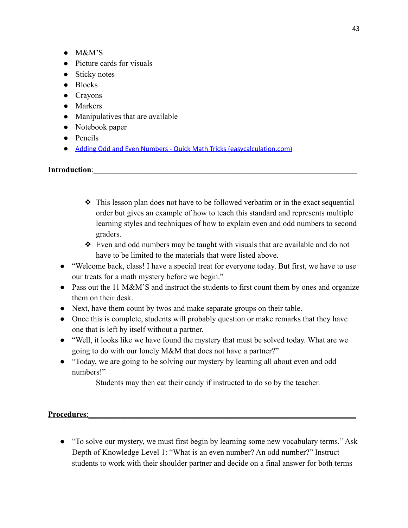- $\bullet$  M&M'S
- Picture cards for visuals
- Sticky notes
- Blocks
- Crayons
- Markers
- Manipulatives that are available
- Notebook paper
- Pencils
- Adding Odd and Even Numbers Quick Math Tricks [\(easycalculation.com\)](https://www.easycalculation.com/funny/add-odd-even-numbers.php)

### **Introduction**:

- ❖ This lesson plan does not have to be followed verbatim or in the exact sequential order but gives an example of how to teach this standard and represents multiple learning styles and techniques of how to explain even and odd numbers to second graders.
- ❖ Even and odd numbers may be taught with visuals that are available and do not have to be limited to the materials that were listed above.
- "Welcome back, class! I have a special treat for everyone today. But first, we have to use our treats for a math mystery before we begin."
- Pass out the 11 M&M'S and instruct the students to first count them by ones and organize them on their desk.
- Next, have them count by twos and make separate groups on their table.
- Once this is complete, students will probably question or make remarks that they have one that is left by itself without a partner.
- "Well, it looks like we have found the mystery that must be solved today. What are we going to do with our lonely M&M that does not have a partner?"
- "Today, we are going to be solving our mystery by learning all about even and odd numbers!"

Students may then eat their candy if instructed to do so by the teacher.

Procedures:

• "To solve our mystery, we must first begin by learning some new vocabulary terms." Ask Depth of Knowledge Level 1: "What is an even number? An odd number?" Instruct students to work with their shoulder partner and decide on a final answer for both terms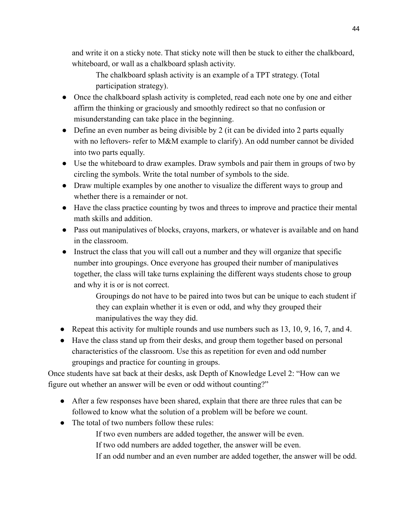and write it on a sticky note. That sticky note will then be stuck to either the chalkboard, whiteboard, or wall as a chalkboard splash activity.

The chalkboard splash activity is an example of a TPT strategy. (Total participation strategy).

- Once the chalkboard splash activity is completed, read each note one by one and either affirm the thinking or graciously and smoothly redirect so that no confusion or misunderstanding can take place in the beginning.
- Define an even number as being divisible by 2 (it can be divided into 2 parts equally with no leftovers- refer to M&M example to clarify). An odd number cannot be divided into two parts equally.
- Use the whiteboard to draw examples. Draw symbols and pair them in groups of two by circling the symbols. Write the total number of symbols to the side.
- Draw multiple examples by one another to visualize the different ways to group and whether there is a remainder or not.
- Have the class practice counting by twos and threes to improve and practice their mental math skills and addition.
- Pass out manipulatives of blocks, crayons, markers, or whatever is available and on hand in the classroom.
- Instruct the class that you will call out a number and they will organize that specific number into groupings. Once everyone has grouped their number of manipulatives together, the class will take turns explaining the different ways students chose to group and why it is or is not correct.

Groupings do not have to be paired into twos but can be unique to each student if they can explain whether it is even or odd, and why they grouped their manipulatives the way they did.

- Repeat this activity for multiple rounds and use numbers such as 13, 10, 9, 16, 7, and 4.
- Have the class stand up from their desks, and group them together based on personal characteristics of the classroom. Use this as repetition for even and odd number groupings and practice for counting in groups.

Once students have sat back at their desks, ask Depth of Knowledge Level 2: "How can we figure out whether an answer will be even or odd without counting?"

- After a few responses have been shared, explain that there are three rules that can be followed to know what the solution of a problem will be before we count.
- The total of two numbers follow these rules:

If two even numbers are added together, the answer will be even.

- If two odd numbers are added together, the answer will be even.
- If an odd number and an even number are added together, the answer will be odd.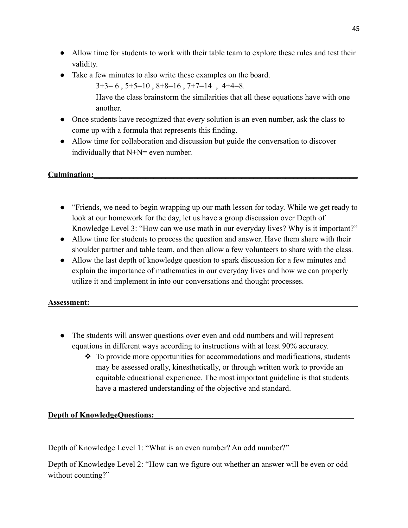- Allow time for students to work with their table team to explore these rules and test their validity.
- Take a few minutes to also write these examples on the board.
	- $3+3=6$ ,  $5+5=10$ ,  $8+8=16$ ,  $7+7=14$ ,  $4+4=8$ .

Have the class brainstorm the similarities that all these equations have with one another.

- Once students have recognized that every solution is an even number, ask the class to come up with a formula that represents this finding.
- Allow time for collaboration and discussion but guide the conversation to discover individually that N+N= even number.

**Culmination:\_\_\_\_\_\_\_\_\_\_\_\_\_\_\_\_\_\_\_\_\_\_\_\_\_\_\_\_\_\_\_\_\_\_\_\_\_\_\_\_\_\_\_\_\_\_\_\_\_\_\_\_\_\_\_\_\_\_\_\_\_\_\_\_\_\_**

- "Friends, we need to begin wrapping up our math lesson for today. While we get ready to look at our homework for the day, let us have a group discussion over Depth of Knowledge Level 3: "How can we use math in our everyday lives? Why is it important?"
- Allow time for students to process the question and answer. Have them share with their shoulder partner and table team, and then allow a few volunteers to share with the class.
- Allow the last depth of knowledge question to spark discussion for a few minutes and explain the importance of mathematics in our everyday lives and how we can properly utilize it and implement in into our conversations and thought processes.

### **Assessment:\_\_\_\_\_\_\_\_\_\_\_\_\_\_\_\_\_\_\_\_\_\_\_\_\_\_\_\_\_\_\_\_\_\_\_\_\_\_\_\_\_\_\_\_\_\_\_\_\_\_\_\_\_\_\_\_\_\_\_\_\_\_\_\_\_\_\_**

- The students will answer questions over even and odd numbers and will represent equations in different ways according to instructions with at least 90% accuracy.
	- ❖ To provide more opportunities for accommodations and modifications, students may be assessed orally, kinesthetically, or through written work to provide an equitable educational experience. The most important guideline is that students have a mastered understanding of the objective and standard.

# **Depth of KnowledgeQuestions:**

Depth of Knowledge Level 1: "What is an even number? An odd number?"

Depth of Knowledge Level 2: "How can we figure out whether an answer will be even or odd without counting?"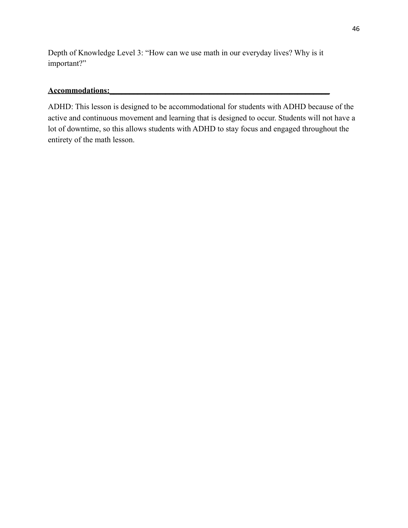Depth of Knowledge Level 3: "How can we use math in our everyday lives? Why is it important?"

#### **Accommodations:\_\_\_\_\_\_\_\_\_\_\_\_\_\_\_\_\_\_\_\_\_\_\_\_\_\_\_\_\_\_\_\_\_\_\_\_\_\_\_\_\_\_\_\_\_\_\_\_\_\_\_\_\_\_\_**

ADHD: This lesson is designed to be accommodational for students with ADHD because of the active and continuous movement and learning that is designed to occur. Students will not have a lot of downtime, so this allows students with ADHD to stay focus and engaged throughout the entirety of the math lesson.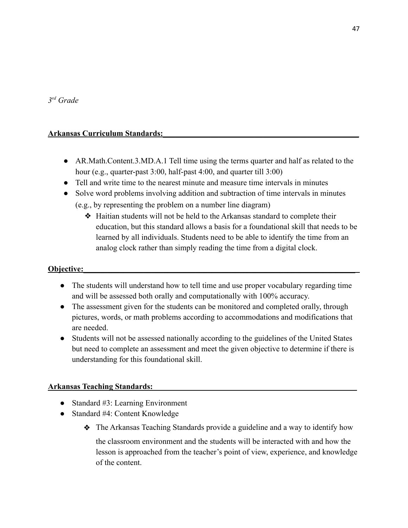### *3 rd Grade*

### **Arkansas Curriculum Standards:\_\_\_\_\_\_\_\_\_\_\_\_\_\_\_\_\_\_\_\_\_\_\_\_\_\_\_\_\_\_\_\_\_\_\_\_\_\_\_\_\_\_\_\_\_\_\_\_\_**

- AR.Math.Content.3.MD.A.1 Tell time using the terms quarter and half as related to the hour (e.g., quarter-past 3:00, half-past 4:00, and quarter till 3:00)
- Tell and write time to the nearest minute and measure time intervals in minutes
- Solve word problems involving addition and subtraction of time intervals in minutes
	- (e.g., by representing the problem on a number line diagram)
		- ❖ Haitian students will not be held to the Arkansas standard to complete their education, but this standard allows a basis for a foundational skill that needs to be learned by all individuals. Students need to be able to identify the time from an analog clock rather than simply reading the time from a digital clock.

### **Objective:\_\_\_\_\_\_\_\_\_\_\_\_\_\_\_\_\_\_\_\_\_\_\_\_\_\_\_\_\_\_\_\_\_\_\_\_\_\_\_\_\_\_\_\_\_\_\_\_\_\_\_\_\_\_\_\_\_\_\_\_\_\_\_\_\_\_\_\_**

- The students will understand how to tell time and use proper vocabulary regarding time and will be assessed both orally and computationally with 100% accuracy.
- The assessment given for the students can be monitored and completed orally, through pictures, words, or math problems according to accommodations and modifications that are needed.
- Students will not be assessed nationally according to the guidelines of the United States but need to complete an assessment and meet the given objective to determine if there is understanding for this foundational skill.

# **Arkansas Teaching Standards:\_\_\_\_\_\_\_\_\_\_\_\_\_\_\_\_\_\_\_\_\_\_\_\_\_\_\_\_\_\_\_\_\_\_\_\_\_\_\_\_\_\_\_\_\_\_\_\_\_\_\_**

- Standard #3: Learning Environment
- Standard #4: Content Knowledge
	- ❖ The Arkansas Teaching Standards provide a guideline and a way to identify how

the classroom environment and the students will be interacted with and how the lesson is approached from the teacher's point of view, experience, and knowledge of the content.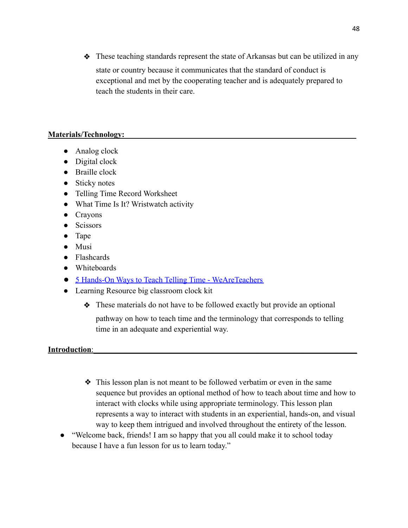❖ These teaching standards represent the state of Arkansas but can be utilized in any state or country because it communicates that the standard of conduct is exceptional and met by the cooperating teacher and is adequately prepared to teach the students in their care.

#### **Materials/Technology:**

- Analog clock
- Digital clock
- Braille clock
- Sticky notes
- Telling Time Record Worksheet
- What Time Is It? Wristwatch activity
- Crayons
- Scissors
- Tape
- Musi
- Flashcards
- Whiteboards
- [5 Hands-On Ways to Teach Telling Time WeAreTeachers](https://www.weareteachers.com/5-hands-on-ways-to-teach-telling-time/)
- Learning Resource big classroom clock kit
	- ❖ These materials do not have to be followed exactly but provide an optional

pathway on how to teach time and the terminology that corresponds to telling time in an adequate and experiential way.

#### **Introduction:**

- ❖ This lesson plan is not meant to be followed verbatim or even in the same sequence but provides an optional method of how to teach about time and how to interact with clocks while using appropriate terminology. This lesson plan represents a way to interact with students in an experiential, hands-on, and visual way to keep them intrigued and involved throughout the entirety of the lesson.
- "Welcome back, friends! I am so happy that you all could make it to school today because I have a fun lesson for us to learn today."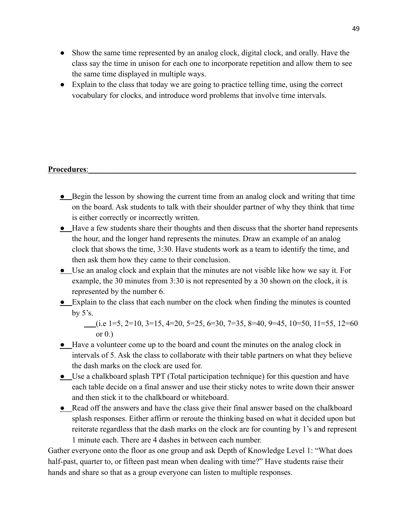- Show the same time represented by an analog clock, digital clock, and orally. Have the class say the time in unison for each one to incorporate repetition and allow them to see the same time displayed in multiple ways.
- Explain to the class that today we are going to practice telling time, using the correct vocabulary for clocks, and introduce word problems that involve time intervals.

#### Procedures:

- **●** Begin the lesson by showing the current time from an analog clock and writing that time on the board. Ask students to talk with their shoulder partner of why they think that time is either correctly or incorrectly written.
- **●** Have a few students share their thoughts and then discuss that the shorter hand represents the hour, and the longer hand represents the minutes. Draw an example of an analog clock that shows the time, 3:30. Have students work as a team to identify the time, and then ask them how they came to their conclusion.
- **●** Use an analog clock and explain that the minutes are not visible like how we say it. For example, the 30 minutes from 3:30 is not represented by a 30 shown on the clock, it is represented by the number 6.
- **●** Explain to the class that each number on the clock when finding the minutes is counted by  $5's$ .

(i.e 1=5, 2=10, 3=15, 4=20, 5=25, 6=30, 7=35, 8=40, 9=45, 10=50, 11=55, 12=60 or  $0.$ )

- **●** Have a volunteer come up to the board and count the minutes on the analog clock in intervals of 5. Ask the class to collaborate with their table partners on what they believe the dash marks on the clock are used for.
- **●** Use a chalkboard splash TPT (Total participation technique) for this question and have each table decide on a final answer and use their sticky notes to write down their answer and then stick it to the chalkboard or whiteboard.
- **●** Read off the answers and have the class give their final answer based on the chalkboard splash responses. Either affirm or reroute the thinking based on what it decided upon but reiterate regardless that the dash marks on the clock are for counting by 1's and represent 1 minute each. There are 4 dashes in between each number.

Gather everyone onto the floor as one group and ask Depth of Knowledge Level 1: "What does half-past, quarter to, or fifteen past mean when dealing with time?" Have students raise their hands and share so that as a group everyone can listen to multiple responses.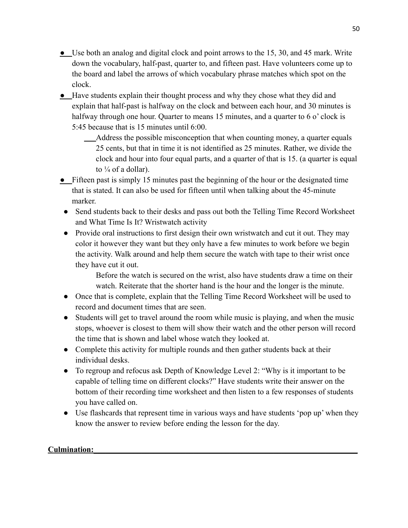- **●** Use both an analog and digital clock and point arrows to the 15, 30, and 45 mark. Write down the vocabulary, half-past, quarter to, and fifteen past. Have volunteers come up to the board and label the arrows of which vocabulary phrase matches which spot on the clock.
- **●** Have students explain their thought process and why they chose what they did and explain that half-past is halfway on the clock and between each hour, and 30 minutes is halfway through one hour. Quarter to means 15 minutes, and a quarter to 6 o' clock is 5:45 because that is 15 minutes until 6:00.
	- Address the possible misconception that when counting money, a quarter equals 25 cents, but that in time it is not identified as 25 minutes. Rather, we divide the clock and hour into four equal parts, and a quarter of that is 15. (a quarter is equal to  $\frac{1}{4}$  of a dollar).
- **●** Fifteen past is simply 15 minutes past the beginning of the hour or the designated time that is stated. It can also be used for fifteen until when talking about the 45-minute marker.
- Send students back to their desks and pass out both the Telling Time Record Worksheet and What Time Is It? Wristwatch activity
- Provide oral instructions to first design their own wristwatch and cut it out. They may color it however they want but they only have a few minutes to work before we begin the activity. Walk around and help them secure the watch with tape to their wrist once they have cut it out.

Before the watch is secured on the wrist, also have students draw a time on their watch. Reiterate that the shorter hand is the hour and the longer is the minute.

- Once that is complete, explain that the Telling Time Record Worksheet will be used to record and document times that are seen.
- Students will get to travel around the room while music is playing, and when the music stops, whoever is closest to them will show their watch and the other person will record the time that is shown and label whose watch they looked at.
- Complete this activity for multiple rounds and then gather students back at their individual desks.
- To regroup and refocus ask Depth of Knowledge Level 2: "Why is it important to be capable of telling time on different clocks?" Have students write their answer on the bottom of their recording time worksheet and then listen to a few responses of students you have called on.
- Use flashcards that represent time in various ways and have students 'pop up' when they know the answer to review before ending the lesson for the day.

# Culmination: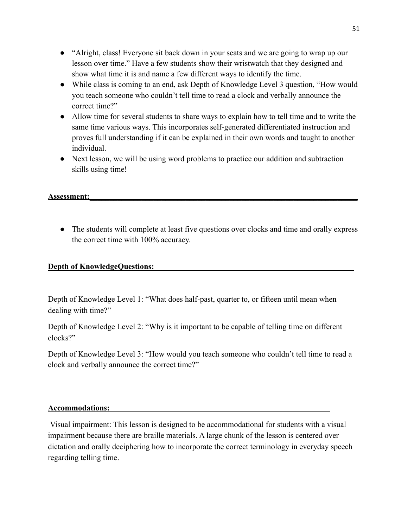- "Alright, class! Everyone sit back down in your seats and we are going to wrap up our lesson over time." Have a few students show their wristwatch that they designed and show what time it is and name a few different ways to identify the time.
- While class is coming to an end, ask Depth of Knowledge Level 3 question, "How would you teach someone who couldn't tell time to read a clock and verbally announce the correct time?"
- Allow time for several students to share ways to explain how to tell time and to write the same time various ways. This incorporates self-generated differentiated instruction and proves full understanding if it can be explained in their own words and taught to another individual.
- Next lesson, we will be using word problems to practice our addition and subtraction skills using time!

### **Assessment:\_\_\_\_\_\_\_\_\_\_\_\_\_\_\_\_\_\_\_\_\_\_\_\_\_\_\_\_\_\_\_\_\_\_\_\_\_\_\_\_\_\_\_\_\_\_\_\_\_\_\_\_\_\_\_\_\_\_\_\_\_\_\_\_\_\_\_**

• The students will complete at least five questions over clocks and time and orally express the correct time with 100% accuracy.

### **Depth of KnowledgeQuestions:**

Depth of Knowledge Level 1: "What does half-past, quarter to, or fifteen until mean when dealing with time?"

Depth of Knowledge Level 2: "Why is it important to be capable of telling time on different clocks?"

Depth of Knowledge Level 3: "How would you teach someone who couldn't tell time to read a clock and verbally announce the correct time?"

#### **Accommodations:\_\_\_\_\_\_\_\_\_\_\_\_\_\_\_\_\_\_\_\_\_\_\_\_\_\_\_\_\_\_\_\_\_\_\_\_\_\_\_\_\_\_\_\_\_\_\_\_\_\_\_\_\_\_\_**

Visual impairment: This lesson is designed to be accommodational for students with a visual impairment because there are braille materials. A large chunk of the lesson is centered over dictation and orally deciphering how to incorporate the correct terminology in everyday speech regarding telling time.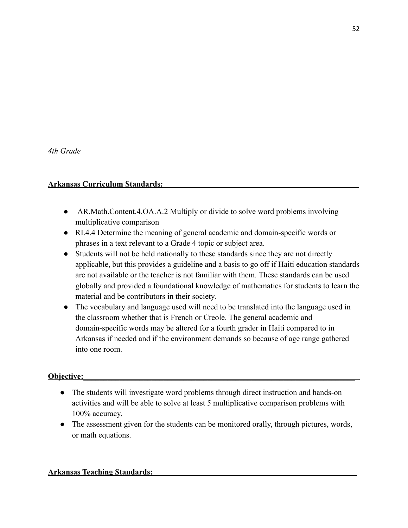### **Arkansas Curriculum Standards:\_\_\_\_\_\_\_\_\_\_\_\_\_\_\_\_\_\_\_\_\_\_\_\_\_\_\_\_\_\_\_\_\_\_\_\_\_\_\_\_\_\_\_\_\_\_\_\_\_**

- **●** AR.Math.Content.4.OA.A.2 Multiply or divide to solve word problems involving multiplicative comparison
- **●** RI.4.4 Determine the meaning of general academic and domain-specific words or phrases in a text relevant to a Grade 4 topic or subject area.
- **●** Students will not be held nationally to these standards since they are not directly applicable, but this provides a guideline and a basis to go off if Haiti education standards are not available or the teacher is not familiar with them. These standards can be used globally and provided a foundational knowledge of mathematics for students to learn the material and be contributors in their society.
- **●** The vocabulary and language used will need to be translated into the language used in the classroom whether that is French or Creole. The general academic and domain-specific words may be altered for a fourth grader in Haiti compared to in Arkansas if needed and if the environment demands so because of age range gathered into one room.

# **Objective:**

- The students will investigate word problems through direct instruction and hands-on activities and will be able to solve at least 5 multiplicative comparison problems with 100% accuracy.
- The assessment given for the students can be monitored orally, through pictures, words, or math equations.

### **Arkansas Teaching Standards:\_\_\_\_\_\_\_\_\_\_\_\_\_\_\_\_\_\_\_\_\_\_\_\_\_\_\_\_\_\_\_\_\_\_\_\_\_\_\_\_\_\_\_\_\_\_\_\_\_\_\_**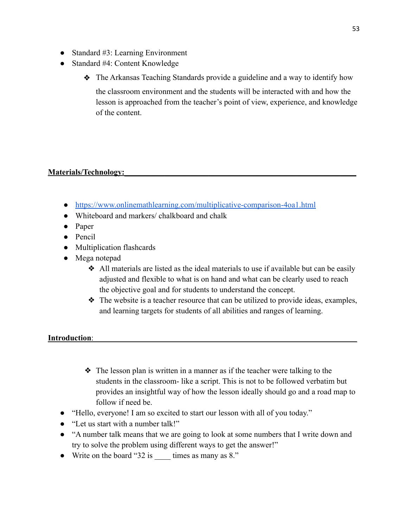- Standard #3: Learning Environment
- Standard #4: Content Knowledge
	- ❖ The Arkansas Teaching Standards provide a guideline and a way to identify how

the classroom environment and the students will be interacted with and how the lesson is approached from the teacher's point of view, experience, and knowledge of the content.

### **Materials/Technology:**

- <https://www.onlinemathlearning.com/multiplicative-comparison-4oa1.html>
- Whiteboard and markers/ chalkboard and chalk
- Paper
- Pencil
- Multiplication flashcards
- Mega notepad
	- $\triangle$  All materials are listed as the ideal materials to use if available but can be easily adjusted and flexible to what is on hand and what can be clearly used to reach the objective goal and for students to understand the concept.
	- ❖ The website is a teacher resource that can be utilized to provide ideas, examples, and learning targets for students of all abilities and ranges of learning.

### **Introduction:**

- ❖ The lesson plan is written in a manner as if the teacher were talking to the students in the classroom- like a script. This is not to be followed verbatim but provides an insightful way of how the lesson ideally should go and a road map to follow if need be.
- "Hello, everyone! I am so excited to start our lesson with all of you today."
- "Let us start with a number talk!"
- "A number talk means that we are going to look at some numbers that I write down and try to solve the problem using different ways to get the answer!"
- Write on the board "32 is \_\_\_\_ times as many as 8."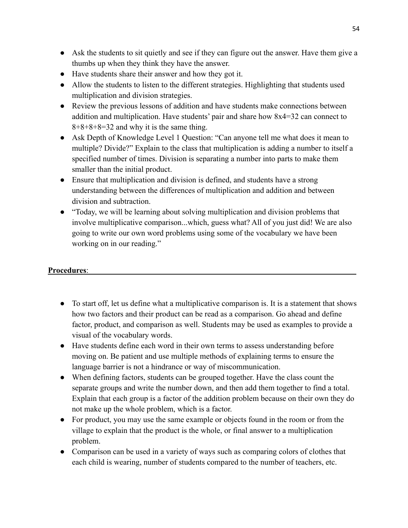- Ask the students to sit quietly and see if they can figure out the answer. Have them give a thumbs up when they think they have the answer.
- Have students share their answer and how they got it.
- Allow the students to listen to the different strategies. Highlighting that students used multiplication and division strategies.
- Review the previous lessons of addition and have students make connections between addition and multiplication. Have students' pair and share how 8x4=32 can connect to  $8+8+8=32$  and why it is the same thing.
- Ask Depth of Knowledge Level 1 Question: "Can anyone tell me what does it mean to multiple? Divide?" Explain to the class that multiplication is adding a number to itself a specified number of times. Division is separating a number into parts to make them smaller than the initial product.
- Ensure that multiplication and division is defined, and students have a strong understanding between the differences of multiplication and addition and between division and subtraction.
- "Today, we will be learning about solving multiplication and division problems that involve multiplicative comparison...which, guess what? All of you just did! We are also going to write our own word problems using some of the vocabulary we have been working on in our reading."

# Procedures:

- To start off, let us define what a multiplicative comparison is. It is a statement that shows how two factors and their product can be read as a comparison. Go ahead and define factor, product, and comparison as well. Students may be used as examples to provide a visual of the vocabulary words.
- Have students define each word in their own terms to assess understanding before moving on. Be patient and use multiple methods of explaining terms to ensure the language barrier is not a hindrance or way of miscommunication.
- When defining factors, students can be grouped together. Have the class count the separate groups and write the number down, and then add them together to find a total. Explain that each group is a factor of the addition problem because on their own they do not make up the whole problem, which is a factor.
- For product, you may use the same example or objects found in the room or from the village to explain that the product is the whole, or final answer to a multiplication problem.
- Comparison can be used in a variety of ways such as comparing colors of clothes that each child is wearing, number of students compared to the number of teachers, etc.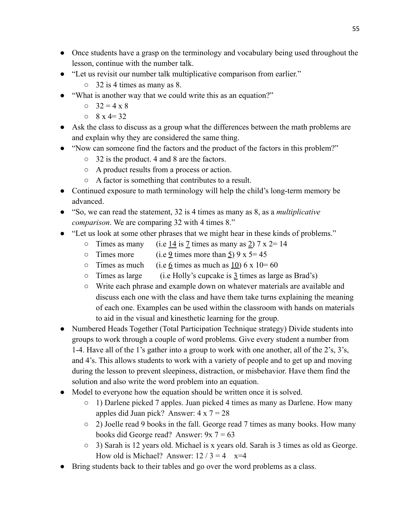- Once students have a grasp on the terminology and vocabulary being used throughout the lesson, continue with the number talk.
- "Let us revisit our number talk multiplicative comparison from earlier."
	- $\circ$  32 is 4 times as many as 8.
- "What is another way that we could write this as an equation?"
	- $0 \quad 32 = 4 \times 8$
	- $0 \times 8 \times 4 = 32$
- Ask the class to discuss as a group what the differences between the math problems are and explain why they are considered the same thing.
- "Now can someone find the factors and the product of the factors in this problem?"
	- 32 is the product. 4 and 8 are the factors.
	- A product results from a process or action.
	- A factor is something that contributes to a result.
- Continued exposure to math terminology will help the child's long-term memory be advanced.
- "So, we can read the statement, 32 is 4 times as many as 8, as a *multiplicative comparison*. We are comparing 32 with 4 times 8."
- "Let us look at some other phrases that we might hear in these kinds of problems."
	- $\circ$  Times as many (i.e 14 is 7 times as many as 2)  $7 \times 2 = 14$
	- $\circ$  Times more (i.e 9 times more than 5) 9 x 5 = 45
	- $\circ$  Times as much (i.e 6 times as much as 10) 6 x 10= 60
	- $\circ$  Times as large (i.e Holly's cupcake is  $\frac{3}{2}$  times as large as Brad's)
	- Write each phrase and example down on whatever materials are available and discuss each one with the class and have them take turns explaining the meaning of each one. Examples can be used within the classroom with hands on materials to aid in the visual and kinesthetic learning for the group.
- Numbered Heads Together (Total Participation Technique strategy) Divide students into groups to work through a couple of word problems. Give every student a number from 1-4. Have all of the 1's gather into a group to work with one another, all of the 2's, 3's, and 4's. This allows students to work with a variety of people and to get up and moving during the lesson to prevent sleepiness, distraction, or misbehavior. Have them find the solution and also write the word problem into an equation.
- Model to everyone how the equation should be written once it is solved.
	- 1) Darlene picked 7 apples. Juan picked 4 times as many as Darlene. How many apples did Juan pick? Answer:  $4 \times 7 = 28$
	- 2) Joelle read 9 books in the fall. George read 7 times as many books. How many books did George read? Answer: 9x 7 = 63
	- 3) Sarah is 12 years old. Michael is x years old. Sarah is 3 times as old as George. How old is Michael? Answer:  $12 / 3 = 4$  x=4
- Bring students back to their tables and go over the word problems as a class.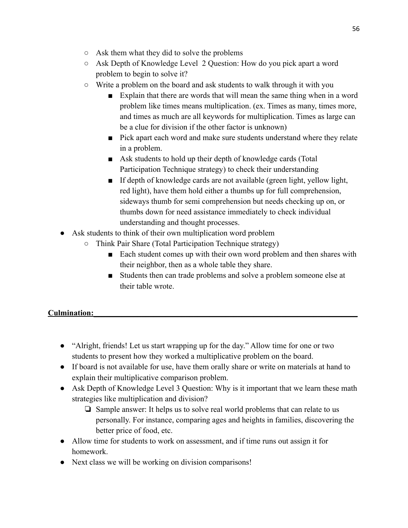- Ask them what they did to solve the problems
- Ask Depth of Knowledge Level 2 Question: How do you pick apart a word problem to begin to solve it?
- $\circ$  Write a problem on the board and ask students to walk through it with you
	- Explain that there are words that will mean the same thing when in a word problem like times means multiplication. (ex. Times as many, times more, and times as much are all keywords for multiplication. Times as large can be a clue for division if the other factor is unknown)
	- Pick apart each word and make sure students understand where they relate in a problem.
	- Ask students to hold up their depth of knowledge cards (Total Participation Technique strategy) to check their understanding
	- If depth of knowledge cards are not available (green light, yellow light, red light), have them hold either a thumbs up for full comprehension, sideways thumb for semi comprehension but needs checking up on, or thumbs down for need assistance immediately to check individual understanding and thought processes.
- Ask students to think of their own multiplication word problem
	- Think Pair Share (Total Participation Technique strategy)
		- Each student comes up with their own word problem and then shares with their neighbor, then as a whole table they share.
		- Students then can trade problems and solve a problem someone else at their table wrote.

# Culmination:

- "Alright, friends! Let us start wrapping up for the day." Allow time for one or two students to present how they worked a multiplicative problem on the board.
- If board is not available for use, have them orally share or write on materials at hand to explain their multiplicative comparison problem.
- Ask Depth of Knowledge Level 3 Question: Why is it important that we learn these math strategies like multiplication and division?
	- ❏ Sample answer: It helps us to solve real world problems that can relate to us personally. For instance, comparing ages and heights in families, discovering the better price of food, etc.
- Allow time for students to work on assessment, and if time runs out assign it for homework.
- Next class we will be working on division comparisons!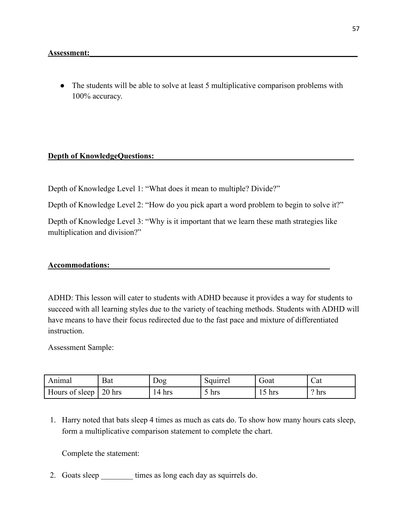• The students will be able to solve at least 5 multiplicative comparison problems with 100% accuracy.

#### **Depth of KnowledgeQuestions:**

Depth of Knowledge Level 1: "What does it mean to multiple? Divide?"

Depth of Knowledge Level 2: "How do you pick apart a word problem to begin to solve it?"

Depth of Knowledge Level 3: "Why is it important that we learn these math strategies like multiplication and division?"

#### **Accommodations:\_\_\_\_\_\_\_\_\_\_\_\_\_\_\_\_\_\_\_\_\_\_\_\_\_\_\_\_\_\_\_\_\_\_\_\_\_\_\_\_\_\_\_\_\_\_\_\_\_\_\_\_\_\_\_**

ADHD: This lesson will cater to students with ADHD because it provides a way for students to succeed with all learning styles due to the variety of teaching methods. Students with ADHD will have means to have their focus redirected due to the fast pace and mixture of differentiated instruction.

Assessment Sample:

| Animal         | Bat      | Dog    | Squirrel | Goat      | Cat |
|----------------|----------|--------|----------|-----------|-----|
| Hours of sleep | $20$ hrs | 14 hrs | hrs      | hrs<br>IJ | hrs |

1. Harry noted that bats sleep 4 times as much as cats do. To show how many hours cats sleep, form a multiplicative comparison statement to complete the chart.

Complete the statement:

2. Goats sleep times as long each day as squirrels do.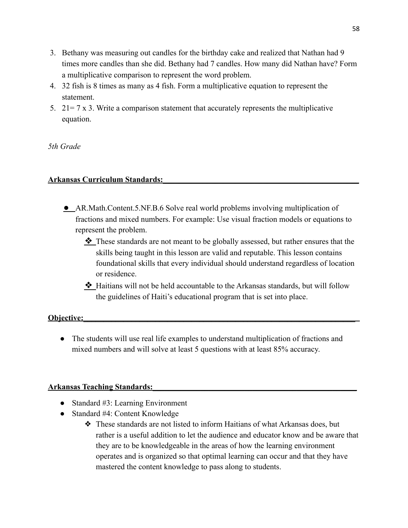- 3. Bethany was measuring out candles for the birthday cake and realized that Nathan had 9 times more candles than she did. Bethany had 7 candles. How many did Nathan have? Form a multiplicative comparison to represent the word problem.
- 4. 32 fish is 8 times as many as 4 fish. Form a multiplicative equation to represent the statement.
- 5.  $21 = 7 \times 3$ . Write a comparison statement that accurately represents the multiplicative equation.

*5th Grade*

### **Arkansas Curriculum Standards:\_\_\_\_\_\_\_\_\_\_\_\_\_\_\_\_\_\_\_\_\_\_\_\_\_\_\_\_\_\_\_\_\_\_\_\_\_\_\_\_\_\_\_\_\_\_\_\_\_**

- **●** AR.Math.Content.5.NF.B.6 Solve real world problems involving multiplication of fractions and mixed numbers. For example: Use visual fraction models or equations to represent the problem.
	- ❖ These standards are not meant to be globally assessed, but rather ensures that the skills being taught in this lesson are valid and reputable. This lesson contains foundational skills that every individual should understand regardless of location or residence.
	- ❖ Haitians will not be held accountable to the Arkansas standards, but will follow the guidelines of Haiti's educational program that is set into place.

### **Objective:**

• The students will use real life examples to understand multiplication of fractions and mixed numbers and will solve at least 5 questions with at least 85% accuracy.

### **Arkansas Teaching Standards:\_\_\_\_\_\_\_\_\_\_\_\_\_\_\_\_\_\_\_\_\_\_\_\_\_\_\_\_\_\_\_\_\_\_\_\_\_\_\_\_\_\_\_\_\_\_\_\_\_\_\_**

- Standard #3: Learning Environment
- Standard #4: Content Knowledge
	- ❖ These standards are not listed to inform Haitians of what Arkansas does, but rather is a useful addition to let the audience and educator know and be aware that they are to be knowledgeable in the areas of how the learning environment operates and is organized so that optimal learning can occur and that they have mastered the content knowledge to pass along to students.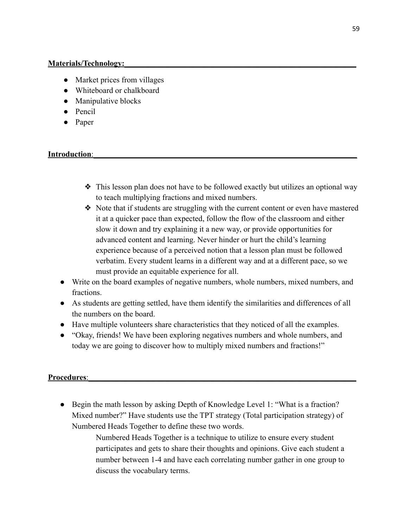### **Materials/Technology:**

- Market prices from villages
- Whiteboard or chalkboard
- Manipulative blocks
- Pencil
- Paper

# **Introduction:**

- ❖ This lesson plan does not have to be followed exactly but utilizes an optional way to teach multiplying fractions and mixed numbers.
- ❖ Note that if students are struggling with the current content or even have mastered it at a quicker pace than expected, follow the flow of the classroom and either slow it down and try explaining it a new way, or provide opportunities for advanced content and learning. Never hinder or hurt the child's learning experience because of a perceived notion that a lesson plan must be followed verbatim. Every student learns in a different way and at a different pace, so we must provide an equitable experience for all.
- Write on the board examples of negative numbers, whole numbers, mixed numbers, and fractions.
- As students are getting settled, have them identify the similarities and differences of all the numbers on the board.
- Have multiple volunteers share characteristics that they noticed of all the examples.
- "Okay, friends! We have been exploring negatives numbers and whole numbers, and today we are going to discover how to multiply mixed numbers and fractions!"

# Procedures:

• Begin the math lesson by asking Depth of Knowledge Level 1: "What is a fraction? Mixed number?" Have students use the TPT strategy (Total participation strategy) of Numbered Heads Together to define these two words.

> Numbered Heads Together is a technique to utilize to ensure every student participates and gets to share their thoughts and opinions. Give each student a number between 1-4 and have each correlating number gather in one group to discuss the vocabulary terms.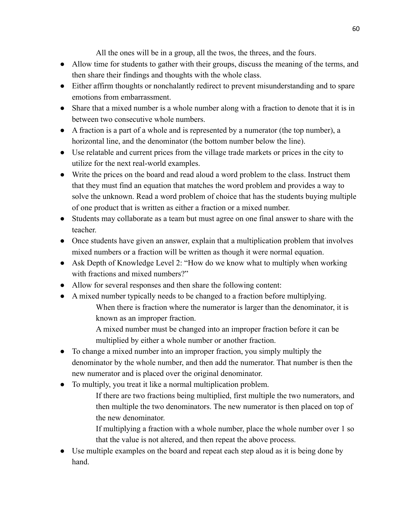All the ones will be in a group, all the twos, the threes, and the fours.

- Allow time for students to gather with their groups, discuss the meaning of the terms, and then share their findings and thoughts with the whole class.
- Either affirm thoughts or nonchalantly redirect to prevent misunderstanding and to spare emotions from embarrassment.
- Share that a mixed number is a whole number along with a fraction to denote that it is in between two consecutive whole numbers.
- A fraction is a part of a whole and is represented by a numerator (the top number), a horizontal line, and the denominator (the bottom number below the line).
- Use relatable and current prices from the village trade markets or prices in the city to utilize for the next real-world examples.
- Write the prices on the board and read aloud a word problem to the class. Instruct them that they must find an equation that matches the word problem and provides a way to solve the unknown. Read a word problem of choice that has the students buying multiple of one product that is written as either a fraction or a mixed number.
- Students may collaborate as a team but must agree on one final answer to share with the teacher.
- Once students have given an answer, explain that a multiplication problem that involves mixed numbers or a fraction will be written as though it were normal equation.
- Ask Depth of Knowledge Level 2: "How do we know what to multiply when working with fractions and mixed numbers?"
- Allow for several responses and then share the following content:
- A mixed number typically needs to be changed to a fraction before multiplying. When there is fraction where the numerator is larger than the denominator, it is known as an improper fraction.
	- A mixed number must be changed into an improper fraction before it can be multiplied by either a whole number or another fraction.
- To change a mixed number into an improper fraction, you simply multiply the denominator by the whole number, and then add the numerator. That number is then the new numerator and is placed over the original denominator.
- To multiply, you treat it like a normal multiplication problem.
	- If there are two fractions being multiplied, first multiple the two numerators, and then multiple the two denominators. The new numerator is then placed on top of the new denominator.
	- If multiplying a fraction with a whole number, place the whole number over 1 so that the value is not altered, and then repeat the above process.
- Use multiple examples on the board and repeat each step aloud as it is being done by hand.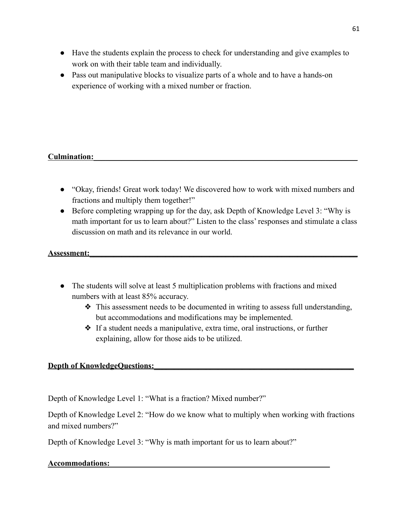- Have the students explain the process to check for understanding and give examples to work on with their table team and individually.
- Pass out manipulative blocks to visualize parts of a whole and to have a hands-on experience of working with a mixed number or fraction.

### Culmination:

- "Okay, friends! Great work today! We discovered how to work with mixed numbers and fractions and multiply them together!"
- Before completing wrapping up for the day, ask Depth of Knowledge Level 3: "Why is math important for us to learn about?" Listen to the class' responses and stimulate a class discussion on math and its relevance in our world.

### **Assessment:\_\_\_\_\_\_\_\_\_\_\_\_\_\_\_\_\_\_\_\_\_\_\_\_\_\_\_\_\_\_\_\_\_\_\_\_\_\_\_\_\_\_\_\_\_\_\_\_\_\_\_\_\_\_\_\_\_\_\_\_\_\_\_\_\_\_\_**

- The students will solve at least 5 multiplication problems with fractions and mixed numbers with at least 85% accuracy.
	- ❖ This assessment needs to be documented in writing to assess full understanding, but accommodations and modifications may be implemented.
	- ❖ If a student needs a manipulative, extra time, oral instructions, or further explaining, allow for those aids to be utilized.

### **Depth of KnowledgeQuestions:**

Depth of Knowledge Level 1: "What is a fraction? Mixed number?"

Depth of Knowledge Level 2: "How do we know what to multiply when working with fractions and mixed numbers?"

Depth of Knowledge Level 3: "Why is math important for us to learn about?"

### **Accommodations:\_\_\_\_\_\_\_\_\_\_\_\_\_\_\_\_\_\_\_\_\_\_\_\_\_\_\_\_\_\_\_\_\_\_\_\_\_\_\_\_\_\_\_\_\_\_\_\_\_\_\_\_\_\_\_**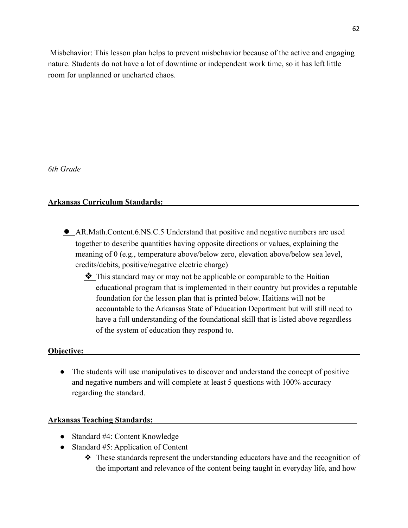Misbehavior: This lesson plan helps to prevent misbehavior because of the active and engaging nature. Students do not have a lot of downtime or independent work time, so it has left little room for unplanned or uncharted chaos.

*6th Grade*

# **Arkansas Curriculum Standards:\_\_\_\_\_\_\_\_\_\_\_\_\_\_\_\_\_\_\_\_\_\_\_\_\_\_\_\_\_\_\_\_\_\_\_\_\_\_\_\_\_\_\_\_\_\_\_\_\_**

- **●** AR.Math.Content.6.NS.C.5 Understand that positive and negative numbers are used together to describe quantities having opposite directions or values, explaining the meaning of 0 (e.g., temperature above/below zero, elevation above/below sea level, credits/debits, positive/negative electric charge)
	- ❖ This standard may or may not be applicable or comparable to the Haitian educational program that is implemented in their country but provides a reputable foundation for the lesson plan that is printed below. Haitians will not be accountable to the Arkansas State of Education Department but will still need to have a full understanding of the foundational skill that is listed above regardless of the system of education they respond to.

# **Objective:**

• The students will use manipulatives to discover and understand the concept of positive and negative numbers and will complete at least 5 questions with 100% accuracy regarding the standard.

# **Arkansas Teaching Standards:\_\_\_\_\_\_\_\_\_\_\_\_\_\_\_\_\_\_\_\_\_\_\_\_\_\_\_\_\_\_\_\_\_\_\_\_\_\_\_\_\_\_\_\_\_\_\_\_\_\_\_**

- Standard #4: Content Knowledge
- Standard #5: Application of Content
	- ❖ These standards represent the understanding educators have and the recognition of the important and relevance of the content being taught in everyday life, and how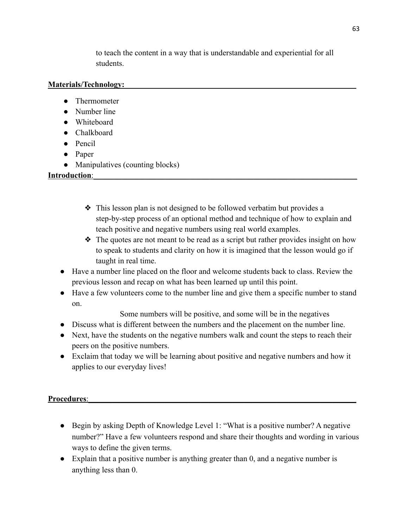to teach the content in a way that is understandable and experiential for all students.

# **Materials/Technology:**

- Thermometer
- Number line
- Whiteboard
- Chalkboard
- Pencil
- Paper
- Manipulatives (counting blocks)

**Introduction:** 

- ❖ This lesson plan is not designed to be followed verbatim but provides a step-by-step process of an optional method and technique of how to explain and teach positive and negative numbers using real world examples.
- $\triangle$  The quotes are not meant to be read as a script but rather provides insight on how to speak to students and clarity on how it is imagined that the lesson would go if taught in real time.
- Have a number line placed on the floor and welcome students back to class. Review the previous lesson and recap on what has been learned up until this point.
- Have a few volunteers come to the number line and give them a specific number to stand on.

Some numbers will be positive, and some will be in the negatives

- Discuss what is different between the numbers and the placement on the number line.
- Next, have the students on the negative numbers walk and count the steps to reach their peers on the positive numbers.
- Exclaim that today we will be learning about positive and negative numbers and how it applies to our everyday lives!

# Procedures:

- Begin by asking Depth of Knowledge Level 1: "What is a positive number? A negative number?" Have a few volunteers respond and share their thoughts and wording in various ways to define the given terms.
- Explain that a positive number is anything greater than 0, and a negative number is anything less than 0.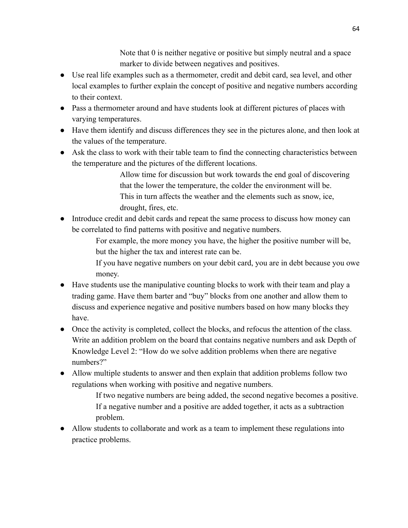Note that 0 is neither negative or positive but simply neutral and a space marker to divide between negatives and positives.

- Use real life examples such as a thermometer, credit and debit card, sea level, and other local examples to further explain the concept of positive and negative numbers according to their context.
- Pass a thermometer around and have students look at different pictures of places with varying temperatures.
- Have them identify and discuss differences they see in the pictures alone, and then look at the values of the temperature.
- Ask the class to work with their table team to find the connecting characteristics between the temperature and the pictures of the different locations.

Allow time for discussion but work towards the end goal of discovering that the lower the temperature, the colder the environment will be. This in turn affects the weather and the elements such as snow, ice, drought, fires, etc.

● Introduce credit and debit cards and repeat the same process to discuss how money can be correlated to find patterns with positive and negative numbers.

> For example, the more money you have, the higher the positive number will be, but the higher the tax and interest rate can be.

If you have negative numbers on your debit card, you are in debt because you owe money.

- Have students use the manipulative counting blocks to work with their team and play a trading game. Have them barter and "buy" blocks from one another and allow them to discuss and experience negative and positive numbers based on how many blocks they have.
- Once the activity is completed, collect the blocks, and refocus the attention of the class. Write an addition problem on the board that contains negative numbers and ask Depth of Knowledge Level 2: "How do we solve addition problems when there are negative numbers?"
- Allow multiple students to answer and then explain that addition problems follow two regulations when working with positive and negative numbers.

If two negative numbers are being added, the second negative becomes a positive. If a negative number and a positive are added together, it acts as a subtraction problem.

• Allow students to collaborate and work as a team to implement these regulations into practice problems.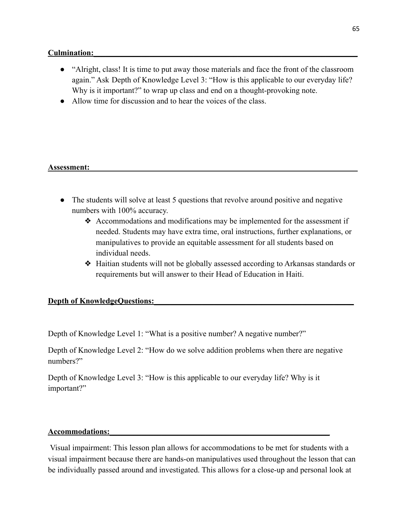### Culmination:

- "Alright, class! It is time to put away those materials and face the front of the classroom again." Ask Depth of Knowledge Level 3: "How is this applicable to our everyday life? Why is it important?" to wrap up class and end on a thought-provoking note.
- Allow time for discussion and to hear the voices of the class.

### **Assessment:\_\_\_\_\_\_\_\_\_\_\_\_\_\_\_\_\_\_\_\_\_\_\_\_\_\_\_\_\_\_\_\_\_\_\_\_\_\_\_\_\_\_\_\_\_\_\_\_\_\_\_\_\_\_\_\_\_\_\_\_\_\_\_\_\_\_\_**

- The students will solve at least 5 questions that revolve around positive and negative numbers with 100% accuracy.
	- ❖ Accommodations and modifications may be implemented for the assessment if needed. Students may have extra time, oral instructions, further explanations, or manipulatives to provide an equitable assessment for all students based on individual needs.
	- ❖ Haitian students will not be globally assessed according to Arkansas standards or requirements but will answer to their Head of Education in Haiti.

#### **Depth of KnowledgeQuestions:**

Depth of Knowledge Level 1: "What is a positive number? A negative number?"

Depth of Knowledge Level 2: "How do we solve addition problems when there are negative numbers?"

Depth of Knowledge Level 3: "How is this applicable to our everyday life? Why is it important?"

#### **Accommodations:\_\_\_\_\_\_\_\_\_\_\_\_\_\_\_\_\_\_\_\_\_\_\_\_\_\_\_\_\_\_\_\_\_\_\_\_\_\_\_\_\_\_\_\_\_\_\_\_\_\_\_\_\_\_\_**

Visual impairment: This lesson plan allows for accommodations to be met for students with a visual impairment because there are hands-on manipulatives used throughout the lesson that can be individually passed around and investigated. This allows for a close-up and personal look at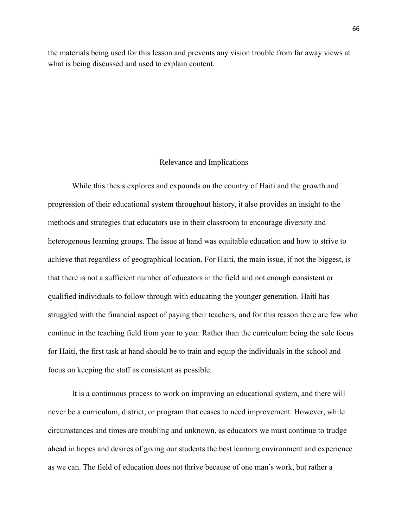the materials being used for this lesson and prevents any vision trouble from far away views at what is being discussed and used to explain content.

#### Relevance and Implications

While this thesis explores and expounds on the country of Haiti and the growth and progression of their educational system throughout history, it also provides an insight to the methods and strategies that educators use in their classroom to encourage diversity and heterogenous learning groups. The issue at hand was equitable education and how to strive to achieve that regardless of geographical location. For Haiti, the main issue, if not the biggest, is that there is not a sufficient number of educators in the field and not enough consistent or qualified individuals to follow through with educating the younger generation. Haiti has struggled with the financial aspect of paying their teachers, and for this reason there are few who continue in the teaching field from year to year. Rather than the curriculum being the sole focus for Haiti, the first task at hand should be to train and equip the individuals in the school and focus on keeping the staff as consistent as possible.

It is a continuous process to work on improving an educational system, and there will never be a curriculum, district, or program that ceases to need improvement. However, while circumstances and times are troubling and unknown, as educators we must continue to trudge ahead in hopes and desires of giving our students the best learning environment and experience as we can. The field of education does not thrive because of one man's work, but rather a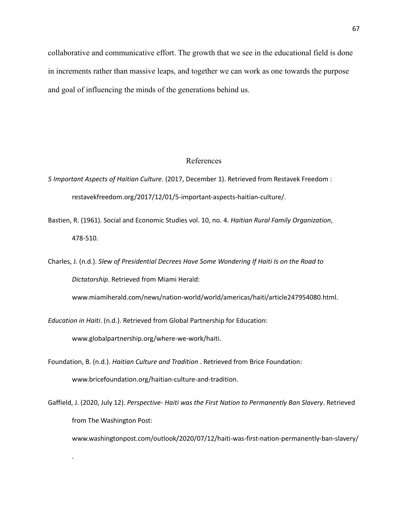collaborative and communicative effort. The growth that we see in the educational field is done in increments rather than massive leaps, and together we can work as one towards the purpose and goal of influencing the minds of the generations behind us.

#### References

- *5 Important Aspects of Haitian Culture.* (2017, December 1). Retrieved from Restavek Freedom : restavekfreedom.org/2017/12/01/5-important-aspects-haitian-culture/.
- Bastien, R. (1961). Social and Economic Studies vol. 10, no. 4. *Haitian Rural Family Organization*, 478-510.
- Charles, J. (n.d.). *Slew of Presidential Decrees Have Some Wondering If Haiti Is on the Road to Dictatorship*. Retrieved from Miami Herald:

www.miamiherald.com/news/nation-world/world/americas/haiti/article247954080.html.

*Education in Haiti*. (n.d.). Retrieved from Global Partnership for Education:

www.globalpartnership.org/where-we-work/haiti.

.

Foundation, B. (n.d.). *Haitian Culture and Tradition* . Retrieved from Brice Foundation: www.bricefoundation.org/haitian-culture-and-tradition.

Gaffield, J. (2020, July 12). *Perspective- Haiti was the First Nation to Permanently Ban Slavery*. Retrieved from The Washington Post:

www.washingtonpost.com/outlook/2020/07/12/haiti-was-first-nation-permanently-ban-slavery/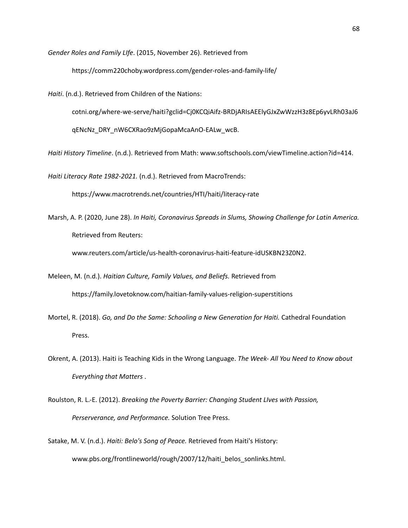*Gender Roles and Family LIfe*. (2015, November 26). Retrieved from

https://comm220choby.wordpress.com/gender-roles-and-family-life/

*Haiti*. (n.d.). Retrieved from Children of the Nations:

cotni.org/where-we-serve/haiti?gclid=Cj0KCQiAifz-BRDjARIsAEElyGJxZwWzzH3z8Ep6yvLRh03aJ6

qENcNz\_DRY\_nW6CXRao9zMjGopaMcaAnO-EALw\_wcB.

*Haiti History Timeline*. (n.d.). Retrieved from Math: www.softschools.com/viewTimeline.action?id=414.

*Haiti Literacy Rate 1982-2021.* (n.d.). Retrieved from MacroTrends:

https://www.macrotrends.net/countries/HTI/haiti/literacy-rate

Marsh, A. P. (2020, June 28). *In Haiti, Coronavirus Spreads in Slums, Showing Challenge for Latin America.* Retrieved from Reuters:

www.reuters.com/article/us-health-coronavirus-haiti-feature-idUSKBN23Z0N2.

- Meleen, M. (n.d.). *Haitian Culture, Family Values, and Beliefs.* Retrieved from https://family.lovetoknow.com/haitian-family-values-religion-superstitions
- Mortel, R. (2018). *Go, and Do the Same: Schooling a New Generation for Haiti.* Cathedral Foundation Press.
- Okrent, A. (2013). Haiti is Teaching Kids in the Wrong Language. *The Week- All You Need to Know about Everything that Matters* .
- Roulston, R. L.-E. (2012). *Breaking the Poverty Barrier: Changing Student LIves with Passion, Perserverance, and Performance.* Solution Tree Press.
- Satake, M. V. (n.d.). *Haiti: Belo's Song of Peace.* Retrieved from Haiti's History: www.pbs.org/frontlineworld/rough/2007/12/haiti\_belos\_sonlinks.html.